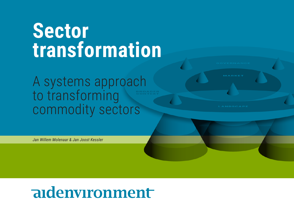# **Sector transformation**

A systems approach to transforming commodity sectors

MARKET

*Jan Willem Molenaar & Jan Joost Kessler*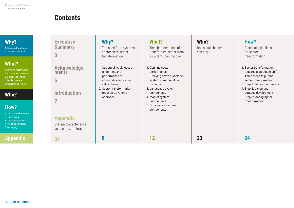# **Contents**

<span id="page-1-0"></span>

| Why?<br>1. Structural weaknesses<br>2. Systems approach                                                                               | <b>Executive</b><br><b>Summary</b><br>3                                                 | Why?<br>The need for a systems<br>approach to sector<br>transformation                               | What?<br>The characteristics of a<br>transformed sector from<br>a systems perspective                     | Who?<br>Roles stakeholders<br>can play | How?<br>Practical guidelines<br>for sector<br>transformation                                                                                |
|---------------------------------------------------------------------------------------------------------------------------------------|-----------------------------------------------------------------------------------------|------------------------------------------------------------------------------------------------------|-----------------------------------------------------------------------------------------------------------|----------------------------------------|---------------------------------------------------------------------------------------------------------------------------------------------|
| <b>What?</b><br>1. Defining performance<br>2. Components & context<br>3. Landscape system<br>4. Market system<br>5. Governance system | Acknowledge-<br>ments<br>6                                                              | 1. Structural weaknesses<br>undermine the<br>performance of<br>commodity sectors and<br>value chains | 1. Defining sector<br>performance<br>2. Breaking down a sector in<br>system components and<br>its context |                                        | 1. Sector transformation<br>requires a paradigm shift<br>2. Three steps to pursue<br>sector transformation<br>3. Step 1: Sector diagnostics |
| Who?<br>How?<br>1. Sector transformation<br>2. Three steps<br>3. Sector diagnostics<br>4. Vision and strategy<br>5. Managing          | <b>Introduction</b><br><b>Appendix</b><br>System characteristics<br>and context factors | 2. Sector transformation<br>requires a systems<br>approach                                           | 3. Landscape system<br>components<br>4. Market system<br>components<br>5. Governance system<br>components |                                        | 4. Step 2: Vision and<br>strategy development<br>5. Step 3: Managing for<br>transformation                                                  |
| <b>Appendix</b>                                                                                                                       | 35                                                                                      | 8                                                                                                    | 12                                                                                                        | 23                                     | 24                                                                                                                                          |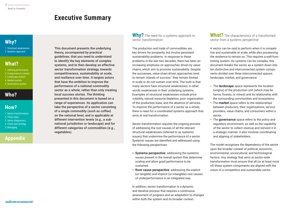# **Executive Summary**

# <span id="page-2-0"></span>**[Why?](#page-7-0)**

[1. Structural weaknesses](#page-7-0) [2. Systems approach](#page-8-0)

# **[What?](#page-11-0)**

- [1. Defining performance](#page-11-0) [2. Components & context](#page-12-0) [3. Landscape system](#page-14-0) [4. Market system](#page-16-0)
- [5. Governance system](#page-19-0)

# **[Who?](#page-22-0)**

# **[How?](#page-23-0)**

[1. Sector transformation](#page-23-0) [2. Three steps](#page-24-0) [3. Sector diagnostics](#page-25-0) [4. Vision and strategy](#page-27-0) [5. Managing](#page-31-0)

### **[Appendix](#page-35-0)**

This document presents the underlying theory, accompanied by practical guidelines, that you need to understand to identify the key elements of complex systems, and to then develop an effective sector transformation strategy, towards competitiveness, sustainability at scale, and resilience over time. It targets actors that have the ambition to improve the performance of a national commodity sector as a whole, rather than only creating local success stories. The thinking presented in this document is based on a range of experiences. Its application can take the perspective of a sector consisting of a single commodity (such as coffee) on the national level, and is applicable at different intervention levels (e.g., a subnational jurisdiction or landscape) and for different categories of commodities (e.g., vegetables).

**Why?** The need for a systems approach to sector transformation

The production and trade of commodities are key drivers for prosperity, but involve persistent sustainability problems. In response to these problems in the last two decades, there has been an increasing emphasis on approaches driven by valuechains, which aim to promote sustainability. Despite the successes, value-chain-driven approaches tend to remain 'islands of success': they remain limited in scale or do not sustain over time. The truth is that many sectors have structural weaknesses, in other words weaknesses in their underlying systems. Examples of structural weaknesses include price volatility, natural resource depletion, poor organization of the production base, and the absence of services. To improve the performance of a sector as a whole, there is need for a coordinated systems approach that aims at real transformation.

Sector transformation requires the ongoing process of addressing the root causes of all the relevant structural weaknesses (referred to as systemic issues) that undermine the performance of a sector. Systemic issues are identified and addressed using the following perspectives:

- **•** Systems perspective: addressing the systemic issues present in the overall system that determine scaling and allow good performance to be sustained.
- Root cause perspective: addressing the explicit (or tangible) and implicit (or intangible) root causes of underperformance in an integrated way.

In addition, sector transformation is a dynamic and iterative process that requires a continuous assessment of progress and an adaptation to changes within both the system and its broader context.

**What?** The characteristics of a transformed sector from a systems perspective

A sector can be said to perform when it is competitive and sustainable at scale, while also possessing the resilience to remain so. This requires a well-functioning system. As systems can be complex, this document breaks the sector as a system down into ten distinctive and interconnected system components divided over three interconnected spaces: landscape, market, and governance:

- The landscape space represents the location (origins) of the production unit (which may be farms, forests, or mines) and its relationship with the surrounding communities and ecosystems.
- The market space refers to the relationships between producers, their organizations, service providers, value chains, and consumers within a sector.
- The governance space refers to the policy and regulatory environment, as well as the capability of the sector to collect revenue and reinvest it in a strategic manner. It also involves coordinating and aligning of stakeholders.

The model recognizes the dependency of the sector upon the broader context of political, economic, environmental, sociocultural, and technological factors. Any strategy that aims at sector-wide transformation must ensure that all (or at least most of) these system components are aligned with the vision of a competitive and sustainable sector.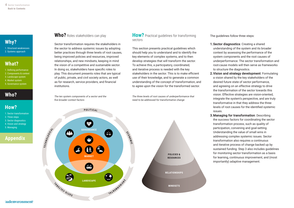[1. Structural weaknesses](#page-7-0) [2. Systems approach](#page-8-0)

# **[What?](#page-11-0)**

- [1. Defining performance](#page-11-0) [2. Components & context](#page-12-0) [3. Landscape system](#page-14-0)
- [4. Market system](#page-16-0)
- [5. Governance system](#page-19-0)

# **[Who?](#page-22-0)**

# **[How?](#page-23-0)**

- [1. Sector transformation](#page-23-0) [2. Three steps](#page-24-0) [3. Sector diagnostics](#page-25-0)
- [4. Vision and strategy](#page-27-0)
- [5. Managing](#page-31-0)

### **[Appendix](#page-35-0)**

### **Who?** Roles stakeholders can play

Sector transformation requires the stakeholders in the sector to address systemic issues by adopting better practices through three levels of root causes, being improved policies and resources, improved relationships, and new mindsets, keeping in mind the vision of a competitive and sustainable sector. In doing so, stakeholders have specific roles to play. This document presents roles that are typical of public, private, and civil society actors, as well as for research, service providers, and financial institutions.

*The ten system components of a sector and the five broader context factors*



This section presents practical guidelines which should help you to understand and to identify the key elements of complex systems, and to then develop strategies that will transform the sector. To achieve this, a participatory, coordinated, and iterative process is needed with the key stakeholders in the sector. This is to make efficient use of their knowledge, and to generate a common understanding of the concept of transformation, and to agree upon the vision for the transformed sector.

*The three levels of root causes of underperformance that need to be addressed for transformative change*



The guidelines follow three steps:

- 1. Sector diagnostics: Creating a shared understanding of the system and its broader context by assessing the performance of the system components and the root causes of underperformance. The sector transformation and root-cause models will then serve as frameworks to structure the diagnostics.
- 2. Vision and strategy development: Formulating a vision shared by the key stakeholders of the desired future state of sector performance, and agreeing on an effective strategy to drive the transformation of the sector towards this vision. Effective strategies are vision-oriented, integrate the system's perspective, and are truly transformative in that they address the three levels of root causes for the identified systemic issues.
- 3. Managing for transformation: Describing the success factors for coordinating the sector transformation process, such as quality of participation, convening and goal-setting. Understanding the value of small wins in addressing complex systemic issues. Sector transformation also requires a continuous and iterative process of change backed up by sustained funding. Step 3 also includes guidelines for monitoring sector transformation as a basis for learning, continuous improvement, and (most importantly) adaptive management.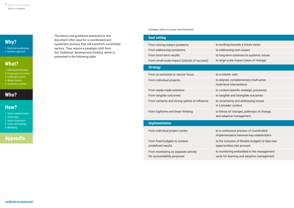[1. Structural weaknesses](#page-7-0) [2. Systems approach](#page-8-0)

# **[What?](#page-11-0)**

- [1. Defining performance](#page-11-0) [2. Components & context](#page-12-0)
- [3. Landscape system](#page-14-0)
- [4. Market system](#page-16-0)
- [5. Governance system](#page-19-0)

# **[Who?](#page-22-0)**

# **[How?](#page-23-0)**

[5. Managing](#page-31-0)

- [1. Sector transformation](#page-23-0) [2. Three steps](#page-24-0) [3. Sector diagnostics](#page-25-0) [4. Vision and strategy](#page-27-0)
- **[Appendix](#page-35-0)**

The theory and guidelines presented in this document offer input for a coordinated and systematic process that will transform commodity sectors. They require a paradigm shift from the 'traditional' development thinking, which is presented in the following table.

#### *Paradigm shifts for sector transformation*

|                               | <b>Goal setting</b>                                                 |                                                                                        |  |
|-------------------------------|---------------------------------------------------------------------|----------------------------------------------------------------------------------------|--|
| From solving today's problems |                                                                     | to working towards a future vision                                                     |  |
|                               | From addressing symptoms                                            | to addressing root causes                                                              |  |
|                               | From short-term results                                             | to long-term solutions to systemic issues                                              |  |
|                               | From small-scale impact (islands of success)                        | to large-scale impact (seas of change)                                                 |  |
|                               | <b>Strategy</b>                                                     |                                                                                        |  |
|                               | From an exclusive or narrow focus                                   | to a holistic view                                                                     |  |
|                               | From individual projects                                            | to aligned, complementary multi-actor,<br>multi-level interventions                    |  |
|                               | From ready-made solutions                                           | to context-specific strategic processes                                                |  |
|                               | From tangible outcomes                                              | to tangible and intangible outcomes                                                    |  |
|                               | From certainty and strong sphere of influence                       | to uncertainty and addressing issues<br>in a broader context                           |  |
|                               | From logframe and linear thinking                                   | to theory of changes, pathways of change,<br>and adaptive management                   |  |
|                               | <b>Implementation</b>                                               |                                                                                        |  |
|                               | From individual project cycles                                      | to a continuous process of coordinated<br>implementation between key stakeholders      |  |
|                               | From fixed budgets to achieve<br>predefined results                 | to the inclusion of flexible budgets to take new<br>opportunities into account         |  |
|                               | From monitoring as separate activity<br>for accountability purposes | to monitoring embedded in the management<br>cycle for learning and adaptive management |  |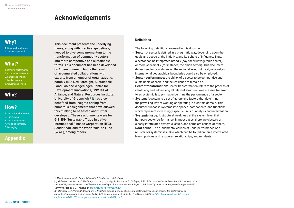# **Acknowledgements**

# <span id="page-5-0"></span>**[Why?](#page-7-0)**

[1. Structural weaknesses](#page-7-0) [2. Systems approach](#page-8-0)

# **[What?](#page-11-0)**

- [1. Defining performance](#page-11-0) [2. Components & context](#page-12-0) [3. Landscape system](#page-14-0) [4. Market system](#page-16-0)
- [5. Governance system](#page-19-0)

# **[Who?](#page-22-0)**

### **[How?](#page-23-0)**

[1. Sector transformation](#page-23-0) [2. Three steps](#page-24-0) [3. Sector diagnostics](#page-25-0) [4. Vision and strategy](#page-27-0) [5. Managing](#page-31-0)

### **[Appendix](#page-35-0)**

### This document presents the underlying theory, along with practical guidelines, needed to give some momentum to the transformation of commodity sectors into more competitive and sustainable forms. This document has been developed by Aidenvironment, but is the result of accumulated collaborations with experts from a number of organizations, notably IIED, NewForesight, Sustainable Food Lab, the Wageningen Centre for Development Innovations, SNV, ISEAL Alliance, and Natural Resources Institute, University of Greenwich.<sup>1</sup> It has also benefited from insights arising from numerous assignments that have allowed this thinking to be tested and further developed. These assignments were for GIZ, IDH Sustainable Trade Initiative, International Finance Corporation (IFC), Solidaridad, and the World Wildlife Fund (WWF), among others.

### **Definitions**

The following definitions are used in this document:

- **Sector:** A sector is defined in a pragmatic way, depending upon the goals and scope of the initiative, and its sphere of influence. Thus, a sector can be interpreted broadly (say, the fruit vegetable sector), or more specifically (for instance, the onion sector). This document defines sector boundaries on the national level, but local, regional, or international geographical boundaries could also be employed.
- **Sector performance:** the ability of a sector to be competitive and sustainable at scale, and the resilience to remain so.
- **Sector transformation:** Sector transformation refers to the process of identifying and addressing all relevant structural weaknesses (referred to as systemic issues) that undermine the performance of a sector.
- **System:** A system is a set of actors and factors that determine the prevailing way of working or operating in a certain domain. This document unpacks systems into spaces, components, and functions, which represent increasingly specific units of analysis and intervention.
- **Systemic issue:** A structural weakness at the system level that hampers sector performance. In most cases, there are clusters of closely interrelated systemic issues, and some are causes of others.
- **Root cause:** The fundamental causes of underperformance of a (cluster of) systemic issue(s), which can be found on three interrelated levels: policies and resources, relationships, and mindsets.

*1] This document particularly builds on the following two publications:* 

*<sup>(1)</sup> Molenaar, J.W., Gorter, J., Heilbron, L., Simons, L., Vorley, B., Blackmore, E., Dallinger, J. 2015. Sustainable Sector Transformation: How to drive sustainability performance in smallholder-dominated agricultural sectors? White Paper 1. Published by Aidenvironment, New Foresight and IIED. Commissioned by IFC. Available at: https://pubs.iied.org/16584IIED* 

*<sup>(2)</sup> Molenaar, J.W., Vorley, B., Blackmore, E. Reaching beyond the value chain: How sector governance can improve the performance of agricultural commodity sectors, published by IIED, Aidenvironment, Sustainable Food Lab. Available at https://sustainablefoodlab.org/wpcontentuploads201705sector-governance-full-report\_may2017-pdf-2/*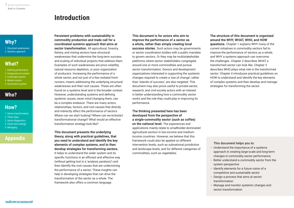<span id="page-6-0"></span>[1. Structural weaknesses](#page-7-0) [2. Systems approach](#page-8-0)

# **[What?](#page-11-0)**

- [1. Defining performance](#page-11-0) [2. Components & context](#page-12-0) [3. Landscape system](#page-14-0) [4. Market system](#page-16-0)
- [5. Governance system](#page-19-0)

# **[Who?](#page-22-0)**

### **[How?](#page-23-0)**

- [1. Sector transformation](#page-23-0) [2. Three steps](#page-24-0) [3. Sector diagnostics](#page-25-0) [4. Vision and strategy](#page-27-0)
- [5. Managing](#page-31-0)

# **[Appendix](#page-35-0)**

# **Introduction**

#### Persistent problems with sustainability in commodity production and trade call for a coordinated systems approach that aims at

sector transformation. All agricultural, forestry, fishery, and mining sectors have structural weaknesses that undermine the long-term success and scaling of individual projects that address them. Examples of such weaknesses are price volatility, natural resource depletion, or poor organization of producers. Increasing the performance of a whole sector, and not just of a few isolated frontrunners, means addressing the underlying structural weaknesses and their root causes. These are often found on a systems level and in the broader context. However, understanding systems and defining systemic issues, never mind changing them, can be a complex endeavor. There are many actors, relationships, factors, and root causes that directly and indirectly affect the performance of sectors. Where can we start looking? Where can we kickstart transformational change? What would an effective transformation strategy look like?

#### This document presents the underlying theory, along with practical guidelines, that you need to understand and identify the key elements of complex systems, and to then develop strategies for transforming sectors.

It helps to understand the wider system and its specific functions in an efficient and effective way (without getting lost in a 'analysis paralysis') and then identify the root causes that are undermining the performance of a sector. These insights can help in developing strategies that can drive the transformation of the sector as a whole. The framework also offers a common language.

### This document is for actors who aim to improve the performance of a sector as a whole, rather than simply creating local

success stories. Such actors may be governments or sector coordination bodies with a public mandate to govern sectors. Or they may be multistakeholder platforms where sector stakeholders congregate around one or more commodities and pursue sector transformation. Donors and development organizations interested in supporting the systemic changes required to create a 'sea of change', rather than 'islands of success', are also targeted. This document may also prove useful to private-sector, research, and civil-society actors with an interest in better understanding how a commodity sector works and the role they could play in improving its performance.

### The thinking presented here has been developed from the perspective of a single-commodity sector (such as coffee)

on the national level. The experiences and applications mainly relate to smallholder-dominated agricultural sectors in low-income and mediumincome countries. However, we believe that this framework could also be applied on different intervention levels, such as subnational jurisdiction and landscape levels, and for different categories of commodities, such as vegetables.

### The structure of this document is organized around the WHY, WHAT, WHO, and HOW

questions. Chapter 1 explains WHY many of the current initiatives in commodity sectors fail to improve the performance of sectors as a whole, and WHY a systems approach can overcome the challenges. Chapter 2 describes WHAT a transformed sector can look like. Chapter 3 describes WHO plays what role in the transformed sector. Chapter 4 introduces practical guidelines on HOW to understand and identify the key elements of complex systems and then develop and manage strategies for transforming the sector.

#### This document helps you to:

- Understand the importance of a systems approach in creating large-scale and long-term changes in commodity sector performance;
- Better understand a commodity sector from the system perspective
- Identify elements for a future vision of a competitive and sustainable sector
- Design a process that aims at sector transformation
- Manage and monitor systemic changes and sector transformation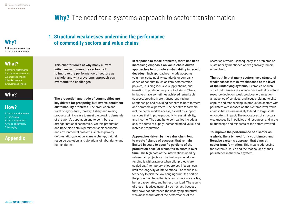# **Why?** The need for a systems approach to sector transformation

1. Structural weaknesses **1. Structural weaknesses** 2. Sector transformation

### **[What?](#page-11-0)**

[1. Defining performance](#page-11-0) [2. Components & context](#page-12-0) [3. Landscape system](#page-14-0) [4. Market system](#page-16-0)

[5. Governance system](#page-19-0)

# **[Who?](#page-22-0)**

### **[How?](#page-23-0)**

[1. Sector transformation](#page-23-0) [2. Three steps](#page-24-0) [3. Sector diagnostics](#page-25-0) [4. Vision and strategy](#page-27-0) [5. Managing](#page-31-0)

### **[Appendix](#page-35-0)**

# <span id="page-7-0"></span>**1. Structural weaknesses undermine the performance Why? of commodity sectors and value chains**

This chapter looks at why many current initiatives in commodity sectors fail to improve the performance of sectors as a whole, and why a systems approach can overcome the challenges.

#### The production and trade of commodities are key drivers for prosperity, but involve persistent sustainability problems. The production and

trade of agricultural, forestry, fishery and mining products will increase to meet the growing demands of the world's population and to contribute to stronger national economies. Yet this production and trade also entails persistent socioeconomic and environmental problems, such as poverty, deforestation, pollution, climate change, natural resource depletion, and violations of labor rights and human rights.

### In response to these problems, there has been increasing emphasis on value-chain-driven approaches to promote sustainability in recent

decades. Such approaches include adopting voluntary sustainability standards or company codes-of-conduct (such as zero-deforestation policies), building inclusive supply chains, and investing in producer support of all kinds. These initiatives have sometimes achieved remarkable success, creating more transparent trading relationships and providing benefits to both farmers and commercial partners. The benefits to farmers include better market access, as well as support services that improve productivity, sustainability, and income. The benefits to companies include a secure source of supply, increased brand value, and increased reputation.

#### Approaches driven by the value chain tend to create 'islands of success' that remain limited in scale to specific portions of the production base, or which fail to sustain over

time. The high cost of the interventions used by value-chain projects can be limiting when donor funding is withdrawn or when pilot projects are scaled up. A temporary 'pilot project' lifespan can limit the longevity of interventions. The result is a tendency to pick the low-hanging fruit—the part of the production base that is already more accessible, better capacitated, and better organized. The results of these initiatives generally do not last, because they have not addressed the underlying structural weaknesses that affect the performance of the

sector as a whole. Consequently, the problems of sustainability mentioned above generally remain unresolved.

### The truth is that many sectors have structural weaknesses: that is, weaknesses at the level

of the underlying systems. Examples of such structural weaknesses include price volatility, natural resource depletion, weak producer organization, an absence of services, and issues relating to elite capture and rent-seeking. In production sectors with persistent weaknesses on the systems level, valuechain initiatives are unlikely to lead to large-scale or long-term impact. The root causes of structural weaknesses lie in policies and resources, and in the relationships and mindsets of the actors involved.

To improve the performance of a sector as a whole, there is need for a coordinated and iterative systems approach that aims at sector transformation. This means addressing the systemic issues and the root causes of their persistence in the whole system.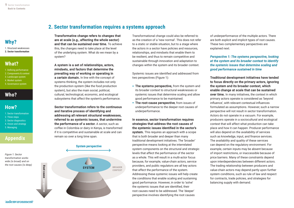<span id="page-8-0"></span>[1. Structural weaknesses](#page-7-0) 2. Sector transformation

# **[What?](#page-11-0)**

[1. Defining performance](#page-11-0) [2. Components & context](#page-12-0) [3. Landscape system](#page-14-0) [4. Market system](#page-16-0) [5. Governance system](#page-19-0)

# **[Who?](#page-22-0)**

### **[How?](#page-23-0)**

[5. Managing](#page-31-0)

[1. Sector transformation](#page-23-0) [2. Three steps](#page-24-0) [3. Sector diagnostics](#page-25-0) [4. Vision and strategy](#page-27-0)

# **[Appendix](#page-35-0)**

*Figure 1: Sector transformation works wide (is broad) and on the root causes (is deep)*

### **2. Sector transformation requires a systems approach**

Transformative change refers to changes that are at scale (e.g., affecting the whole sector) and that can be sustained over time. To achieve this, the changes need to take place at the level of the underlying system. What do we mean by a system?

#### A system is a set of relationships, actors, mindsets, and factors that determine the prevailing way of working or operating in

a certain domain. In line with the concept of systems thinking, the system includes not only the production system (like the food production system), but also the main social, political, cultural, technological, economic, and ecological subsystems that affect the system's performance.

### Sector transformation refers to the continuous and iterative process of identifying and addressing all relevant structural weaknesses, referred to as systemic issues, that undermine the performance of a sector. A sector, such as coffee in Colombia or dairy in Kenya, is transformed if it is competitive and sustainable at scale and can remain so over a long time span.



Transformational change could also be referred to as the creation of a 'new normal'. This does not refer to a static or stable situation, but to a stage where the actors in a sector have policies and resources, relationships, and mindsets that enable them to be resilient, and thus to remain competitive and sustainable through innovation and adaptation to changes within the system and its broader context.

Systemic issues are identified and addressed from two perspectives (Figure 1):

- **•** The systems perspective, from the system and its broader context to structural weaknesses or systemic issues that determine scaling and allow good performance to be maintained.
- **•** The root-cause perspective, from issues of underperformance to the deeper root causes of underperformance.

#### In essence, sector transformation requires strategies that address the root causes of the systemic issues identified in the sector's system. This requires an approach with a scope that is both broader and deeper than many

traditional development initiatives. The 'broader' perspective means looking at the interrelated system components on the structural and strategic levels that affect the performance of the sector as a whole. This will result in a multi-actor focus because, for example, value-chain actors, service providers, and public regulators are all key actors that affect the performance of the system. Addressing these systemic issues will help create the conditions that enable scaling and sustaining good performance. However, in order to 'solve' the systemic issues that are identified, their root causes need to be addressed. The 'deeper' perspective involves identifying the root causes

of underperformance of the multiple actors. There are both explicit and implicit types of root causes. These two complementary perspectives are explained next.

#### *Perspective 1: The systems perspective, looking at the system and its broader context to identify the systemic issues that determine scaling and good performance sustained in time*

### Traditional development initiatives have tended to focus directly on the primary actors, ignoring the system and its broader context, which enable change at scale that can be sustained over time. In many initiatives, the context in which primary actors operate is considered as 'beyond influence', with relevant contextual influences formulated as assumptions. However, such a narrow perspective will not result in sector transformation. Actors do not operate in a vacuum. For example, producers operate in a sociocultural and ecological context that will affect what production can take place and how it can happen. Producer performance will also depend on the availability of services such as knowledge, input, and finance services. The availability and quality of these services can depend on the regulatory environment. For example, certain inputs may be absent because of import restrictions, or inaccessible because of price barriers. Many of these constraints depend upon interdependencies between different actors. The trading relationship between producers and value-chain actors may depend partly upon further system conditions, such as rule of law and respect for contracts, trade policies, and strategies for balancing supply with demand.

aidenvironment

**Root cause perspective**

Root cause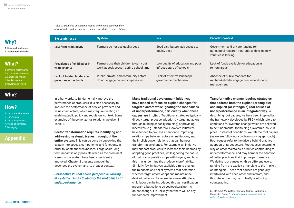*Table 1: Examples of systemic issues and the relationships they have with the system and the broader context (horizontal relations)*

# **[Why?](#page-7-0)**

[1. Structural weaknesses](#page-7-0) 2. Systems approach **[2. Sector transformat](#page-8-0)ion**

# **[What?](#page-11-0)**

[1. Defining performance](#page-11-0) [2. Components & context](#page-12-0) [3. Landscape system](#page-14-0)

- [4. Market system](#page-16-0)
- [5. Governance system](#page-19-0)

# **[Who?](#page-22-0)**

# **[How?](#page-23-0)**

- [1. Sector transformation](#page-23-0) [2. Three steps](#page-24-0)
- [3. Sector diagnostics](#page-25-0) [4. Vision and strategy](#page-27-0)
- [5. Managing](#page-31-0)

# **[Appendix](#page-35-0)**

| <b>Systemic issue</b>                             | <b>System</b>                                                                     | >>                                                             | <b>Broader context</b>                                                                                        |
|---------------------------------------------------|-----------------------------------------------------------------------------------|----------------------------------------------------------------|---------------------------------------------------------------------------------------------------------------|
| Low farm productivity                             | Farmers do not use quality seed                                                   | Seed distributors lack access to<br>quality seed               | Government and private funding for<br>agricultural research institutes to develop new<br>varieties is lacking |
| Prevalence of child labor in<br>value chain X     | Farmers use their children to carry out<br>work at peak season during school time | Low quality of education and poor<br>infrastructure of schools | Lack of funds available for education in<br>remote areas                                                      |
| Lack of trusted landscape<br>governance mechanism | Public, private, and community actors<br>do not engage on landscape issues        | Lack of effective landscape<br>governance mechanism            | Absence of public mandate for<br>multistakeholder engagement in landscape<br>management                       |

In other words, to fundamentally improve the performance of producers, it is also necessary to improve the performance of service providers and value-chain actors, which may require creating an enabling public policy and regulatory context. Some examples of these horizontal relations are given in Table 1.

#### Sector transformation requires identifying and addressing systemic issues throughout the

entire system. This can be done by unpacking the system into spaces, components, and functions, in order to locate the weaknesses. Large-scale, longterm impact is only possible when all the prominent issues in the system have been significantly improved. Chapter 2 presents a model that describes the system and its broader context.

### *Perspective 2: Root cause perspective, looking at systemic issues to identify the root causes of underperformance.*

### Many traditional development initiatives have tended to focus on explicit changes for targeted actors while ignoring the root causes of underperformance, particularly when these

causes are implicit. Traditional strategies typically directly target practice adoption by targeting actors through building capacity (training) or providing incentives (e.g., standards). However, initiatives have tended to pay less attention to improving relationships between actors or institutions, and the implicit power relations that can hamper transformative change. For example, an initiative may support producers to increase their incomes by adopting good practices, while ignoring the nature of their trading relationships with buyers, and how this may undermine the producer's profitability. Similarly, few initiatives explicitly aim to change the mindsets and belief systems that determine whether target actors adopt and maintain the desired behavior. For example, a new attitude to child labor can be introduced through certification programs, but so long as sociocultural norms do not change, it is unlikely that there will be any fundamental improvement.

### Transformative change requires strategies that address both the explicit (or tangible) and implicit (or intangible) root causes of underperformance in an integrated way. In

describing root causes, we have been inspired by the framework developed by FSG,*2* which refers to conditions for systems change which are believed to be fundamental for holding a systemic issue in place. Instead of conditions, we refer to root causes (as we are following a problem-solving approach). Root causes refer to the drivers behind practice adoption of target actors. Root causes determine why an actor maintains a practice contributing to underperformance, and may hamper the adoption of better practices that improve performance. We define root causes on three different levels, ranging from the explicit or tangible to the implicit or intangible. These root causes are generally intertwined with each other and interact, and this interaction may be mutually reinforcing or counteracting.

*2] FSG, 2018. The Water of Systems Change. By: Kania, J., Kramer, M., Senge, P.: https://www.fsg.org/publications/ water\_of\_systems\_change*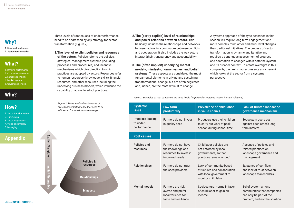[1. Structural weaknesses](#page-7-0) 2. Systems approach **[2. Sector transformat](#page-8-0)ion**

### **[What?](#page-11-0)**

[1. Defining performance](#page-11-0) [2. Components & context](#page-12-0) [3. Landscape system](#page-14-0) [4. Market system](#page-16-0) [5. Governance system](#page-19-0)

# **[Who?](#page-22-0)**

### **[How?](#page-23-0)**

[1. Sector transformation](#page-23-0) [2. Three steps](#page-24-0) [3. Sector diagnostics](#page-25-0) [4. Vision and strategy](#page-27-0) [5. Managing](#page-31-0)

# **[Appendix](#page-35-0)**

Three levels of root causes of underperformance need to be addressed by any strategy for sector transformation (Figure 2):

#### 1. The level of explicit policies and resources

of the actors. Policies refer to the policies, strategies, management systems (including processes and procedures) and incentive mechanisms which give direction to which practices are adopted by actors. Resources refer to human resources (knowledge, skills), financial resources, and other resources including the underlying business models, which influence the capability of actors to adopt practices.

*Figure 2: Three levels of root causes of system underperformance that need to be addressed for transformative change*



#### 2. The (partly explicit) level of relationships and power relations between actors. This

basically includes the relationships and networks between actors in a continuum between conflicts and cooperation. It also includes the way actors interact (their transparency and accountability).

### 3. The (often implicit) underlying mental models, mindsets, norms, values, and belief

systems. These aspects are considered the most fundamental elements in driving and sustaining transformational change, but are often neglected and, indeed, are the most difficult to change.

A systems approach of the type described in this section will require long-term engagement and more complex multi-actor and multi-level changes than traditional initiatives. The process of sector transformation is dynamic and iterative and requires a continuous assessment of progress and adaptation to changes within both the system and its broader context. To create oversight in this complexity, the next chapter presents a framework which looks at the sector from a systems perspective.

*Table 2: Examples of root causes on the three levels for particular systemic issues (vertical relations)*

| <b>Systemic</b><br><b>issue</b>                                    | Low farm<br>productivity                                                              | <b>Prevalence of child labor</b><br>in value chain X                                                       | <b>Lack of trusted landscape</b><br>governance mechanism                                                      |
|--------------------------------------------------------------------|---------------------------------------------------------------------------------------|------------------------------------------------------------------------------------------------------------|---------------------------------------------------------------------------------------------------------------|
| <b>Practices leading</b><br>to under-<br>performance               | Farmers do not invest<br>in quality seed                                              | Producers use their children<br>to carry out work at peak<br>season during school time                     | Ecosystem users act<br>against each other's long-<br>term interest                                            |
| <b>Root causes</b>                                                 |                                                                                       |                                                                                                            |                                                                                                               |
| Policies and<br>resources                                          | Farmers do not have<br>the knowledge and<br>resources to invest in<br>improved seeds  | Child labor policies are<br>not enforced by local<br>governments, so that<br>practices remain 'wrong'      | Absence of policies and<br>related practices on<br>landscape governance and<br>management                     |
| Farmers do not trust<br><b>Relationships</b><br>the seed providers |                                                                                       | Lack of community-based<br>structures and collaboration<br>with local government to<br>monitor child labor | Existence of conflicts<br>and lack of trust between<br>landscape stakeholders                                 |
| <b>Mental models</b>                                               | Farmers are risk-<br>averse and prefer<br>local varieties for<br>taste and resilience | Sociocultural norms in favor<br>of child labor to gain an<br>income                                        | Belief system among<br>communities that companies<br>can only be part of the<br>problem, and not the solution |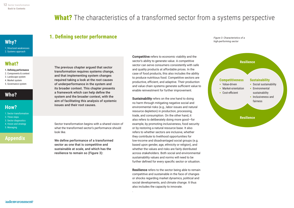# **What?** The characteristics of a transformed sector from a systems perspective

### <span id="page-11-0"></span>**[Why?](#page-7-0)**

[1. Structural weaknesses](#page-7-0) [2. Systems approach](#page-8-0)

# **What?**

1. Defining performance **1. Defining performance** [2. Components & context](#page-12-0) [3. Landscape system](#page-14-0) [4. Market system](#page-16-0) [5. Governance system](#page-19-0)

# **[Who?](#page-22-0)**

# **[How?](#page-23-0)**

[1. Sector transformation](#page-23-0) [2. Three steps](#page-24-0) [3. Sector diagnostics](#page-25-0) [4. Vision and strategy](#page-27-0) [5. Managing](#page-31-0)

# **[Appendix](#page-35-0)**

### **1. Defining sector performance**

The previous chapter argued that sector transformation requires systems change, and that implementing system changes required taking a look at the root causes of underperformance in the system and its broader context. This chapter presents a framework which can help define the system and the broader context, with the aim of facilitating this analysis of systemic issues and their root causes.

Sector transformation begins with a shared vision of what the transformed sector's performance should look like.

We define performance of a transformed sector as one that is competitive and sustainable at scale, and which has the resilience to remain so (Figure 3):

**Competitive** refers to economic viability and the sector's ability to generate value. A competitive sector can serve consumers consistently with safe and quality products at affordable prices. In the case of food products, this also includes the ability to produce nutritious food. Competitive sectors are productive, efficient, and adaptive. Their production and value chain systems generate sufficient value to enable reinvestment for further improvement.

**Sustainability** refers on the one hand to doing no harm through mitigating negative social and environmental risks (e.g., labor issues and natural resource depletion) in production, processing, trade, and consumption. On the other hand, it also refers to deliberately doing more good—for example, by promoting inclusiveness, food security or by restoring a natural resource base. It also refers to whether sectors are inclusive, whether they contribute to livelihood opportunities for low-income and disadvantaged social groups (e.g. based upon gender, age, ethnicity or religion), and whether the values and risks are fairly distributed across stakeholders. Both social and environmental sustainability values and norms will need to be further defined for every specific sector or situation.

**Resilience** refers to the sector being able to remain competitive and sustainable in the face of changes or shocks regarding market dynamics, political and social developments, and climate change. It thus also includes the capacity to innovate.

.

*Figure 3: Characteristics of a high-performing sector*

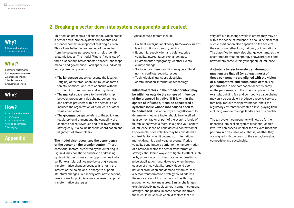### **2. Breaking a sector down into system components and context**

# <span id="page-12-0"></span>**[Why?](#page-7-0)**

[1. Structural weaknesses](#page-7-0) [2. Systems approach](#page-8-0)

# **[What?](#page-11-0)**

[1. Defining performance](#page-11-0) 2. Components & context **2. Components & context** [3. Landscape system](#page-14-0) [4. Market system](#page-16-0) [5. Governance system](#page-19-0)

# **[Who?](#page-22-0)**

# **[How?](#page-23-0)**

[1. Sector transformation](#page-23-0) [2. Three steps](#page-24-0) [3. Sector diagnostics](#page-25-0) [4. Vision and strategy](#page-27-0) [5. Managing](#page-31-0)

# **[Appendix](#page-35-0)**

This section presents a holistic model which breaks a sector down into ten system components and a broader context in support of realizing a vision. This allows better understanding of the sector from the systems perspective and helps identify systemic issues. The model (Figure 4) consists of three distinct but interconnected spaces: landscape, market, and governance. Each space is subdivided into system components:

- The landscape space represents the location (origins) of the production unit (such as farms, forests, or mines) and its relationship with the surrounding communities and ecosystems.
- The market space refers to the relationship between producers, value chains, consumers, and service providers within the sector. It also includes the organization of producers or other value-chain actors.
- The **governance** space refers to the policy and regulatory environment and the capability of a sector to collect revenues and to reinvest them strategically. It also includes the coordination and alignment of stakeholders.

#### The model also recognizes the dependency of the sector on the broader context. These

contextual factors, presented by the outer ring in Figure 4, may constitute barriers to addressing systemic issues, or may offer opportunities to do so. For example, politics may be strongly against transformative changes because it is not in the interest of the politicians in charge to support structural changes. Yet shortly after new elections, newly powerful politicians may be keen to support transformative strategies.

Typical context factors include:

- Political: (inter)national policy frameworks, rule of law, institutional strength, politics.
- Economic: supply–demand balance, price volatility, interest rates, exchange rates.
- Environmental: topography, weather events, climate change.
- Sociocultural: demographics, religion, cultural norms, conflicts, security issues.
- Technological: transport, electricity, communication, information technology.

### Influential factors in the broader context may be within or outside the sphere of influence of the proposed initiative. If it is within the sphere of influence, it can be considered a systemic issue whose root causes need to

be addressed. It is not always straightforward to determine whether a factor should be classified as a context factor or part of the system. A rule of thumb is that when a factor is outside your sphere of influence, it can be considered a context factor. For example, price volatility may be considered a context factor when it depends on international market dynamics and weather events. If price volatility constitutes a barrier to the transformation of a national sector, the sector transformation strategy should find ways to mitigate its effect, such as by promoting crop diversification or creating a price stabilization fund. However, when the root causes of price volatility largely depend upon national production and demand dynamics, then a sector transformation strategy could address the root causes of this barrier, such as through production control measures. Similar challenges exist in classifying sociocultural norms, institutional strength, and politics. In some sector initiatives, these could be seen as context factors that are

very difficult to change, while in others they may be within the scope of influence. It should be clear that such classification also depends on the scale of the sector—whether local, national, or international. The classification may also change over time, as the sector transformation strategy shows progress and new factors come within your sphere of influence.

#### A strategy for sector-wide transformation must ensure that all (or at least most) of these components are aligned with the vision of a competitive and sustainable sector. The performance in one component depends partly on the performance in the other components. For example, building fair and competitive value chains may only be possible if producers receive services that help improve their performance, and if the regulatory environment creates a level playing field, including ways to manage landscapes sustainably.

The ten system components will now be further unpacked into explicit system functions. On this level, we can assess whether the relevant functions perform in a desirable way—that is, whether they are aligned with the goals of the sector, being both competitive and sustainable.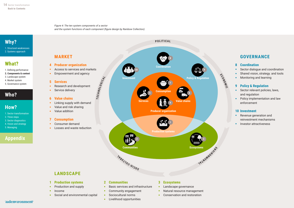*Figure 4: The ten system components of a sector and the system functions of each component (figure design by [Rainbow Collection\)](https://rainbowcollection.nl)*



[1. Structural weaknesses](#page-7-0) [2. Systems approach](#page-8-0)

# **[What?](#page-11-0)**

[1. Defining performance](#page-11-0) [2. Components & context](#page-12-0) **2. Components & context** [3. Landscape system](#page-14-0) [4. Market system](#page-16-0)

### [5. Governance system](#page-19-0)

# **[Who?](#page-22-0)**

# **[How?](#page-23-0)**

- [1. Sector transformation](#page-23-0) [2. Three steps](#page-24-0) [3. Sector diagnostics](#page-25-0)
- [4. Vision and strategy](#page-27-0) [5. Managing](#page-31-0)

# **[Appendix](#page-35-0)**



### **GOVERNANCE**

#### **8 Coordination**

- **•** Sector dialogue and coordination
- **•** Shared vision, strategy. and tools
- **•** Monitoring and learning

### **9 Policy & Regulation**

- Sector relevant policies, laws, and regulation
- Policy implementation and law enforcement

#### **10 Investment**

- Revenue generation and reinvestment mechanisms
- **•** Investor attractiveness

### **LANDSCAPE**

**MARKET**

**5 Services**

**•** Service delivery

**6 Value chains**

**7 Consumption •** Consumer demand

**4 Producer organization**

**•** Empowerment and agency

**•** Research and development

**•** Linking supply with demand **•** Value and risk sharing **•** Value addition

**•** Losses and waste reduction

#### **1 Production systems**

- **•** Production and supply
- **•** Income
- **•** Social and environmental capital

#### **•** Sociocultural norms **•** Livelihood opportunities

**•** Basic services and infrastructure **•** Community engagement

**2 Communities**

### **3 Ecosystems**

- **•** Landscape governance
- **•** Natural resource management
- **•** Conservation and restoration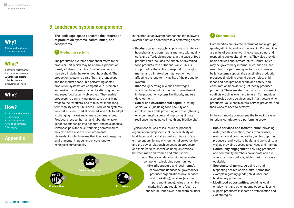<span id="page-14-0"></span>

[1. Structural weaknesses](#page-7-0) [2. Systems approach](#page-8-0)

### **[What?](#page-11-0)**

- [1. Defining performance](#page-11-0) [2. Components & context](#page-12-0)
- 3. Landscape system **3. Landscape system**
- [4. Market system](#page-16-0)
- [5. Governance system](#page-19-0)

# **[Who?](#page-22-0)**

# **[How?](#page-23-0)**

[1. Sector transformation](#page-23-0) [2. Three steps](#page-24-0) [3. Sector diagnostics](#page-25-0) [4. Vision and strategy](#page-27-0) [5. Managing](#page-31-0)

# **[Appendix](#page-35-0)**

### **3. Landscape system components**

The landscape space concerns the integration of production systems, communities, and ecosystems.

### **1 Production systems**

The production systems component refers to the producer unit, which may be a farm, a production forest, a fishery, or a mine. Small-scale units may also include the (extended) household. The production system is part of both the landscape and the market space. In a performing sector, production systems are competitive, sustainable, and resilient, and are capable of satisfying demand and meet food security objectives. They enable producers to earn a living income, to pay a living wage to their workers, and to reinvest in the longterm viability of their business. Production systems are cost-efficient, market-oriented, and able to adapt to changing market and climate circumstances. Producers respect human and labor rights, take gender relationships into account, and have positive relationships with the surrounding communities; they also have a sense of environmental stewardship, which means that they avoid negative environmental impacts and ensure long-term ecological sustainability.



In the production system component, the following system functions contribute to a performing sector:

- **Production and supply, supplying subsistence** households and commercial markets with quality, safe, and affordable products. In the case of food products, this includes the supply of diversified food products with nutritional value. This is supported by the ability to respond to changing market and climate circumstances without affecting the long-term viability of the production system.
- Income, generating revenues and wages, which can be used for continuous investment in the production system, livelihoods, and rural development.
- Social and environmental capital, creating social value (including food security and employment) while protecting and strengthening environmental values and improving climate resilience (including soil health and biodiversity).

Typical root causes of issues in the producer organization component include availability of land, labor, and capital, as well as mindsets (e.g., entrepreneurship and environmental stewardship) and the power relationships between producers and their workers, as well as unequal relations between men and women and other social groups. There are relations with other system components, including communities (like infrastructure and local norms), ecosystems (landscape governance), producer organizations (like services and marketing), services (such as inputs and finance), value chains (like marketing), and regulations (such as land tenure, labor laws, and chemical use).

### **2 Communities**

Communities are diverse in terms of social groups, gender, ethnicity, and land ownership. Communities are units of social networking, safeguarding, and respecting sociocultural norms. They also provide basic services and infrastructure. Communities may be governed by informal rules, such as land use rules. In a performing sector, local norms or belief systems support the sustainable production practices (including around gender roles, child labor, and occupational health and safety) and consumption behavior (e.g., of locally produced products). There are also mechanisms for managing conflicts (such as over land tenure). Communities also provide basic services and infrastructure which producers, value-chain actors, service providers, and their workers need to perform.

In the community component, the following system functions contribute to a performing sector:

- Basic services and infrastructure, providing water, health, education, roads, warehouses, electricity, and communication, while supporting producers' and workers' health and well-being, as well as providing access to services and markets.
- Community engagement, ensuring producers and community members collaborate and are able to resolve conflicts, while sharing resources equitably.
- **Sociocultural norms**, agreeing on and respecting desired sociocultural norms (for example regarding gender, child labor, and biodiversity protection).
- **•** Livelihood opportunities, providing local employment and other income opportunities to support producers in income diversification and exit strategies.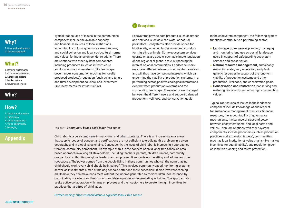[1. Structural weaknesses](#page-7-0) [2. Systems approach](#page-8-0)

# **[What?](#page-11-0)**

- [1. Defining performance](#page-11-0) [2. Components & context](#page-12-0) [3. Landscape system](#page-14-0) **3. Landscape system**[4. Market system](#page-16-0)
- [5. Governance system](#page-19-0)

# **[Who?](#page-22-0)**

### **[How?](#page-23-0)**

[1. Sector transformation](#page-23-0) [2. Three steps](#page-24-0) [3. Sector diagnostics](#page-25-0) [4. Vision and strategy](#page-27-0) [5. Managing](#page-31-0)

# **[Appendix](#page-35-0)**

Typical root causes of issues in the communities component include the available capacity and financial resources of local institutions, accountability of local governance mechanisms, and social cohesion and local sociocultural norms and values, for instance on gender relations. There are relations with other system components, including producers (such as infrastructure and local norms), ecosystems (like landscape governance), consumption (such as for locally produced products), regulation (such as land tenure and rural development policies), and investment (like investments for infrastructure).

### **3 Ecosystems**

Ecosystems provide both products, such as timber, and services, such as clean water or natural pollinators. Ecosystems also provide space for biodiversity, including buffer zones and corridors for migrating animals. Some ecosystem services operate on a large scale, such as climate regulation on the regional or global scale, surpassing the interest of local communities. Landscape users may have different interests in ecosystem services, and will thus have competing interests, which can undermine the viability of production systems. In a performing sector, positive ecological interactions exist between production systems and the surrounding landscape. Ecosystems are managed between the different users and support balanced production, livelihood, and conservation goals.

*Text box 1: Community-based child labor free zones*

Child labor is a persistent issue in many rural and urban contexts. There is an increasing awareness that supplier codes of conduct and certifications are not sufficient to eradicate this problem in a given geography and in global value chains. Consequently, the issue of child labor is increasingly approached from the community component. An example of this is the concept of child labor free zones, an areabased approach involving all stakeholders, including teachers, parents, children, unions, community groups, local authorities, religious leaders, and employers. It supports norm-setting and addresses other root causes. The power comes from the people living in these communities who set the norm that 'no child should work; every child should be in school'. This involves community-based monitoring systems, as well as investments aimed at making schools better and more accessible. It also involves teaching adults how they can make ends meet without the income generated by their children—for instance, by participating in savings and loan groups and developing income-generating activities. The approach also seeks active collaboration with large employees and their customers to create the right incentives for practices that are free of child labor.

*Further reading: https://stopchildlabour.org/child-labour-free-zones/* 

In the ecosystem component, the following system functions contribute to a performing sector:

- **•** Landscape governance, planning, managing, and monitoring land use across all landscape users in support of safeguarding ecosystem services and conservation.
- Natural resource management, sustainably managing water, soil, vegetation, and plant genetic resources in support of the long-term viability of production systems and other production, livelihood, and conservation goals.
- Conservation and restoration, conserving and restoring biodiversity and other high conservation values.

Typical root causes of issues in the landscape component include knowledge of and respect for sustainable management practices, financial resources, the accountability of governance mechanisms, the balance of trust and power between ecosystem users, and local norms and values. There are relations with other system components, include producers (such as production practices and expansion targets), communities (such as local institutions), value chains (like market incentives for sustainability), and regulation (such as land use planning and forest protection).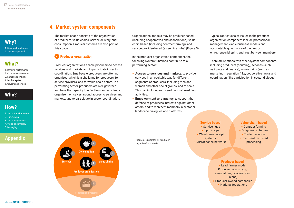<span id="page-16-0"></span>[1. Structural weaknesses](#page-7-0) [2. Systems approach](#page-8-0)

# **[What?](#page-11-0)**

- [1. Defining performance](#page-11-0) [2. Components & context](#page-12-0)
- [3. Landscape system](#page-14-0)
- 4. Market system **4. Market system** [5. Governance system](#page-19-0)

# **[Who?](#page-22-0)**

# **[How?](#page-23-0)**

[1. Sector transformation](#page-23-0) [2. Three steps](#page-24-0) [3. Sector diagnostics](#page-25-0) [4. Vision and strategy](#page-27-0) [5. Managing](#page-31-0)

# **[Appendix](#page-35-0)**

### **4. Market system components**

The market space consists of the organization of producers, value chains, service delivery, and consumption. Producer systems are also part of this space.

### **<sup>4</sup> Producer organization**

Producer organizations enable producers to access services and markets and to participate in sector coordination. Small-scale producers are often not organized, which is a challenge for producers, for service providers, and for value-chain actors. In a performing sector, producers are well governed and have the capacity to effectively and efficiently organize themselves around access to services and markets, and to participate in sector coordination.

Organizational models may be producer-based (including cooperatives and associations), value chain-based (including contract farming), and service provider-based (as service hubs) (Figure 5).

In the producer organization component, the following system functions contribute to a performing sector:

- Access to services and markets, to provide services in an equitable way for different segments of producers, including men and women and other social groups, and at scale. This can include producer-driven value-adding activities.
- Empowerment and agency, to support the defense of producer's interests against other actors, and to represent members in sector or landscape dialogues and platforms.

Typical root causes of issues in the producer organization component include professional management, viable business models and accountable governance of the groups, entrepreneurial spirit, and trust between members.

There are relations with other system components, including producers (sourcing), services (such as inputs and finance), value chains (such as marketing), regulation (like, cooperative laws), and coordination (like participation in sector dialogue).

**Consumption Producer organization Services Value chains <sup>4</sup> 7 5 6**

*Figure 5: Examples of producer organization models*

### **Service based**

- Service hubs
- **•** Input shops
- **•** Warehouse receipt
- systems **•** Microfinance networks

### **Value chain based**

- Contract farming
- Outgrower schemes
- Trader networks
- Joint venture based processing

#### **Producer based**

**•** Lead farmer model Producer groups (e.g., associations, cooperatives, unions) **•** Producer-owned companies **•** National federations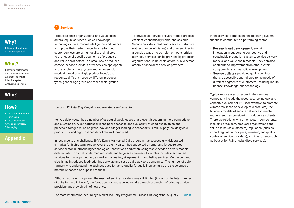[1. Structural weaknesses](#page-7-0) [2. Systems approach](#page-8-0)

### **[What?](#page-11-0)**

- [1. Defining performance](#page-11-0) [2. Components & context](#page-12-0) [3. Landscape system](#page-14-0)
- [4. Market system](#page-16-0) **4. Market system**
- [5. Governance system](#page-19-0)

# **[Who?](#page-22-0)**

# **[How?](#page-23-0)**

[5. Managing](#page-31-0)

[1. Sector transformation](#page-23-0) [2. Three steps](#page-24-0) [3. Sector diagnostics](#page-25-0) [4. Vision and strategy](#page-27-0)

# **[Appendix](#page-35-0)**

**<sup>5</sup> Services** 

Producers, their organizations, and value-chain actors require services such as knowledge, technology, inputs, market intelligence, and finance to improve their performance. In a performing sector, services are of high quality and tailored to the needs of specific segments of producers and value-chain actors. In a small-scale producer context, service providers offer services appropriate to the whole farming system and to household needs (instead of a single product focus), and recognize different needs by different producer types, gender, age group and other social groups.

To drive scale, service delivery models are costefficient, economically viable, and scalable. Service providers treat producers as customers (rather than beneficiaries) and offer services in a bundled way or to complement other critical services. Services can be provided by producer organizations, value-chain actors, public sector actors, or specialized service providers.

*Text box 2: Kickstarting Kenya's forage-related service sector*

Kenya's dairy sector has a number of structural weaknesses that prevent it becoming more competitive and sustainable. A key bottleneck is the poor access to and availability of good quality fresh and preserved forages (such as grass, hay, and silage), leading to seasonality in milk supply, low dairy cow productivity, and high cost per liter of raw milk produced.

In response to this challenge, SNV's Kenya Market-led Dairy program has successfully kick-started a market for high-quality forage. Over the eight years, it has supported an emerging forage-related service sector in introducing technological innovations and establishing viable service delivery models differentiated for small-scale, medium-scale, and large-scale farmers. Examples include mechanized services for maize production, as well as harvesting, silage-making, and baling services. On the demand side, it has introduced feed-rationing software and set up dairy advisory companies. The number of dairy farmers who understand the business case for using quality forage is increasing, as are the volumes of materials that can be supplied to them.

Although at the end of project the reach of service providers was still limited (in view of the total number of dairy farmers in Kenya), the forage sector was growing rapidly through expansion of existing service providers and crowding-in of new ones.

For more information, see "Kenya Market-led Dairy Programme", Close Out Magazine, August 2019 ([link\)](https://issuu.com/victor957/docs/closeout-magazine-v2.5-web2)

In the services component, the following system functions contribute to a performing sector:

- Research and development, ensuring innovation in supporting competitive and sustainable production systems, service delivery models, and value-chain models. They can also contribute to improvements in other system components, such as policy development.
- **Service delivery, providing quality services** that are accessible and tailored to the needs of different segments of customers, including inputs, finance, knowledge, and technology.

Typical root causes of issues in the services component include the resources, technology, and capacity available for R&D (for example, to promote climate resilience or develop new products), the business models of service delivery and mental models (such as considering producers as clients). There are relations with other system components, including producers, producer organizations and value chains (as customers), regulation (such as import regulation for inputs, licensing, and quality control of service providers), and investment (such as budget for R&D or subsidized services).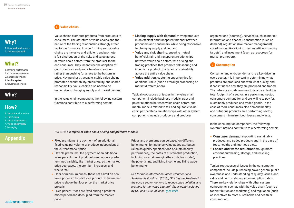[1. Structural weaknesses](#page-7-0) [2. Systems approach](#page-8-0)

### **[What?](#page-11-0)**

- [1. Defining performance](#page-11-0) [2. Components & context](#page-12-0)
- [3. Landscape system](#page-14-0)
- [4. Market system](#page-16-0) **4. Market system**

#### [5. Governance system](#page-19-0)

# **[Who?](#page-22-0)**

# **[How?](#page-23-0)**

[1. Sector transformation](#page-23-0) [2. Three steps](#page-24-0) [3. Sector diagnostics](#page-25-0) [4. Vision and strategy](#page-27-0) [5. Managing](#page-31-0)

# **[Appendix](#page-35-0)**

### **<sup>6</sup> Value chains**

Value chains distribute products from producers to consumers. The structure of value chains and the nature of the trading relationships strongly affect sector performance. In a performing sector, value chains are inclusive and efficient, and promote a fair distribution of the risks and value across all value-chain actors, from the producer to the end consumer. They incentivize the adoption of good practices and promote value creation rather than pushing for a race to the bottom in price. Having short, traceable, stable value chains promotes accountability, predictability, and shared responsibility. Value chains also need to be responsive to changing supply and market demand.

In the value chain component, the following system functions contribute to a performing sector:

- Linking supply with demand, moving products in an efficient and transparent manner between producers and consumers, while being responsive to changing supply and demand.
- Value and risk sharing, ensuring mutual beneficial, fair, and transparent relationships between value-chain actors, with pricing and trading practices that promote risk sharing and incentivize product quality and sustainability across the entire value chain.
- Value addition, capturing opportunities for additional value (such as through processing or market differentiation).

Typical root causes of issues in the value chain component include business models, trust and power relations between value-chain actors, and mental models related to fair and equitable value chain partnerships. Relationships with other system components include producers and producer

*Text box 3: Examples of value chain pricing and premium models*

- Fixed premiums: the payment of an additional fixed value per volume of produce independent of the current market price.
- **•** Flexible premiums: the payment of an additional value per volume of produce based upon a predetermined variable, like market price: as the market price decreases, the premium increases, and vice-versa.
- Floor or minimum prices: these set a limit on how low a price can be paid for a product. If the market price is above the floor price, the market price prevails.
- Fixed prices: Prices are fixed during a predetermined period and decoupled from the market price.

Prices and premiums can be based on different benchmarks, for instance value-added attributes (such as quality specifications or sustainability performance), the costs of sustainable production, including a certain margin (the cost-plus model), the poverty line, and living income and living wage benchmarks.

*See for more information: Aidenvironment and Sustainable Food Lab (2018), "Pricing mechanisms in the cocoa sector: options to reduce price volatility and promote farmer value capture". Study commissioned by GIZ and ISEAL Alliance. (se[e link](https://www.aidenvironment.org/gallery/pricing-mechanisms-in-the-cocoa-sector/))*

organizations (sourcing), services (such as market information and finance), consumption (such as demand), regulation (like market management), coordination (like aligning precompetitive sourcing targets), and investment (such as resources for market promotion).

### **<sup>7</sup> Consumption**

Consumer and end-user demand is a key driver in every sector. It is important in determining what products are produced and with what quality, and it can influence how they are produced and traded. The behavior also determines to a large extent the total footprint of a sector. In a performing sector, consumers demand for, and are willing to pay for, sustainably produced and traded goods. In the case of food, consumers also demand healthy and nutritious products. In a performing sector, consumers minimize (food) losses and waste.

In the consumption component, the following system functions contribute to a performing sector:

- **Consumer demand, supporting sustainably** produced and traded products and, in the case of food, healthy and nutritious diets.
- Losses and waste reduction through more efficient purchasing, storage, and recycling practices.

Typical root causes of issues in the consumption component include purchasing power, general public awareness and understanding of quality issues, and value and norms relating to consumption habits. There are key relationships with other system components, such as with the value chain (such as for distribution and marketing) and regulation (such as incentives to more sustainable and healthier consumption).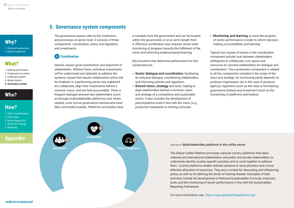<span id="page-19-0"></span>

[1. Structural weaknesses](#page-7-0) [2. Systems approach](#page-8-0)

# **[What?](#page-11-0)**

- [1. Defining performance](#page-11-0) [2. Components & context](#page-12-0)
- [3. Landscape system](#page-14-0)
- [4. Market system](#page-16-0)
- 5. Governance system **5. Governance system**

# **[Who?](#page-22-0)**

# **[How?](#page-23-0)**

- [1. Sector transformation](#page-23-0) [2. Three steps](#page-24-0) [3. Sector diagnostics](#page-25-0) [4. Vision and strategy](#page-27-0)
- [5. Managing](#page-31-0)

# **[Appendix](#page-35-0)**

### **5. Governance system components**

The governance spaces refer to the institutions and processes at sector level. It consists of three components: coordination, policy and regulation, and investments.

### **8 Coordination**

Sectors require good coordination and alignment of stakeholders. Without these, individual investments will be undermined and attempts to address the systemic issues that require collaborative action will be hindered. In a performing sector, key stakeholders collaborate, align their investments behind a common vision, and are held accountable. There is frequent dialogue between key stakeholders (such as through multistakeholder platforms) and, where needed, more formal governance mechanisms exist (like commodity boards). Platforms and bodies have a mandate from the government and can be located within the government, or at an arm's length from it. Effective coordination also requires sector-wide monitoring of progress towards the fulfilment of the vision and informing evidence-based learning.

Key functions that determine performance for this component are:

- **•** Sector dialogue and coordination, facilitating an inclusive dialogue, coordinating stakeholders, and informing policies and regulation.
- **•** Shared vision, strategy and tools, helping to align stakeholders behind a common vision and strategy of a competitive and sustainable sector. It also includes the development of precompetitive tools in line with the vision (e.g., production standards or training curricula).

**•** Monitoring and learning, to track the progress of sector performance in order to inform decisionmaking, accountability, and learning.

Typical root causes of issues in the coordination component include trust between stakeholders, willingness to collaborate, civic space and resources to convene stakeholders for dialogue and coordination. The coordination component is related to all the components included in the scope of the vison and strategy. Its functioning partly depends on producer organization (as in the case of producer agency), regulation (such as the rules to formalizing governance bodies) and investment (such as the functioning of platforms and bodies).



#### *Text box 4: Multistakeholder platforms in the coffee sector*

The Global Coffee Platform promotes national country platforms that allow national and international stakeholders, and public and private stakeholders, to collectively identify country-specific priorities and to work together to address them. Country platforms enable tailored solutions to local priorities and a more effective allocation of resources. They are a conduit for discussing and influencing policy, as well as for defining the levels of training needed. Examples of their activities include the development of National Sustainability Curricula, extension tools, and the monitoring of sector performance in line with the Sustainability Reporting Framework.

*For more information, see : https://www.globalcoffeeplatform.org/*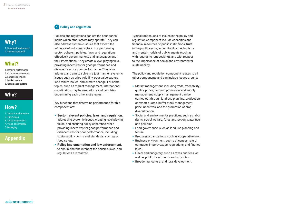[1. Structural weaknesses](#page-7-0) [2. Systems approach](#page-8-0)

### **[What?](#page-11-0)**

- [1. Defining performance](#page-11-0) [2. Components & context](#page-12-0) [3. Landscape system](#page-14-0) [4. Market system](#page-16-0)
- 5. Governance system **[5. Governance system](#page-19-0)**

# **[Who?](#page-22-0)**

# **[How?](#page-23-0)**

[1. Sector transformation](#page-23-0) [2. Three steps](#page-24-0) [3. Sector diagnostics](#page-25-0) [4. Vision and strategy](#page-27-0) [5. Managing](#page-31-0)

# **[Appendix](#page-35-0)**

### **9 Policy and regulation**

Policies and regulations can set the boundaries inside which other actors may operate. They can also address systemic issues that exceed the influence of individual actors. In a performing sector, coherent policies, laws, and regulations effectively govern markets and landscapes and their interactions. They create a level playing field, providing incentives for good performance and disincentives for poor performance. They also address, and aim to solve in a just manner, systemic issues such as price volatility, poor value capture, land tenure issues, and climate change. For some topics, such as market management, international coordination may be needed to avoid countries undermining each other's strategies.

Key functions that determine performance for this component are:

- Sector relevant policies, laws, and regulation, addressing systemic issues, creating level playing fields, and ensuring policy coherence, while providing incentives for good performance and disincentives for poor performance, including sustainability norms and standards, such as on food safety.
- Policy implementation and law enforcement, to ensure that the intent of the policies, laws, and regulations are realized.

Typical root causes of issues in the policy and regulation component include capacities and financial resources of public institutions, trust in the public sector, accountability mechanisms, and mental models of public agents (such as with regards to rent-seeking), and with respect to the importance of social and environmental sustainability.

The policy and regulation component relates to all other components and can include issues around:

- Market management, including trade, traceability, quality, prices, demand promotion, and supply management. supply management can be carried out through land-use planning, production or export quotas, buffer stock management, price incentives, and the promotion of crop diversification.
- Social and environmental practices, such as labor rights, social welfare, forest protection, water use and pollution.
- Land governance, such as land use planning and tenure.
- Producer organizations, such as cooperative law.
- Business environment, such as licenses, rule of contracts, import–export regulations, and finance laws.
- Fiscal and budgetary, such as taxes and fees, as well as public investments and subsidies.
- Broader agricultural and rural development.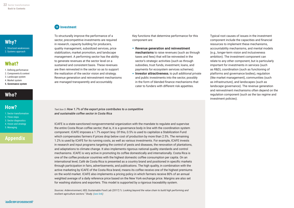[1. Structural weaknesses](#page-7-0) [2. Systems approach](#page-8-0)

### **[What?](#page-11-0)**

- [1. Defining performance](#page-11-0) [2. Components & context](#page-12-0) [3. Landscape system](#page-14-0) [4. Market system](#page-16-0)
- 5. Governance system **[5. Governance system](#page-19-0)**

# **[Who?](#page-22-0)**

# **[How?](#page-23-0)**

- [1. Sector transformation](#page-23-0) [2. Three steps](#page-24-0) [3. Sector diagnostics](#page-25-0)
- [4. Vision and strategy](#page-27-0) [5. Managing](#page-31-0)

# **[Appendix](#page-35-0)**

### **10 Investment**

To structurally improve the performance of a sector, precompetitive investments are required in research, capacity building for producers, quality management, subsidized services, price stabilization, market promotion, and landscape management. A performing sector has the ability to generate revenues at the sector level on a sustained and consistent basis. These revenues are then reinvested in the sector so as to support the realization of the sector vision and strategy. Revenue generation and reinvestment mechanisms are managed transparently and accountably.

Key functions that determine performance for this component are:

- Revenue generation and reinvestment mechanisms to raise revenues (such as through taxes and fees) that will be reinvested in the sector's strategic activities (such as through subsidies, trust funds, investment, loans, and payments for ecosystem services schemes).
- **•** Investor attractiveness, to pull additional private and public investments into the sector, possibly in the form of blended finance mechanisms that cater to funders with different risk appetites.

Typical root causes of issues in the investment component include the capacities and financial resources to implement these mechanisms, accountability mechanisms, and mental models (e.g., longer-term vision and inclusiveness ambition). The investment component can relate to any other component, but is particularly important for investments in services (such as R&D), coordination (such as functioning of platforms and governance bodies), regulation (like market management), communities (such as infrastructure), and landscapes (such as landscape governance). The revenue generation and reinvestment mechanisms often depend on the regulation component (such as the tax regime and investment policies).

*Text box 5: How 1.7% of the export price contributes to a competitive and sustainable coffee sector in Costa Rica*

ICAFE is a state-sanctioned nongovernmental organization with the mandate to regulate and supervise the entire Costa Rican coffee sector; that is, it is a governance body in line with the coordination system component. ICAFE imposes a 1.7% export levy. Of this, 0.5% is used to capitalize a Stabilization Fund which compensates farmers if prices drop below cost of production by more than 2.5%. The remaining 1.2% is used by ICAFE for its running costs, as well as various investments. For example, ICAFE invests in research and input programs targeting the control of pests and diseases, the renovation of plantations, and adaptations to climate change. It also implements rigorous national quality standards and control mechanisms. ICAFE is very active in promoting its coffee domestically and internationally. Costa Rica is one of the coffee producer countries with the highest domestic coffee consumption per capita. On an international level, Café de Costa Rica is presented as a country brand and positioned in specific markets through participation in fairs, advertisements, and publications. The high quality, in combination with the active marketing by ICAFE of the Costa Rica brand, means its coffee receive one of the highest premiums on the world market. ICAFE also implements a pricing policy in which farmers receive 80% of an annual weighted average of a daily reference price based on the New York exchange price. Margins are also set for washing stations and exporters. This model is supported by a rigorous traceability system.

*Sources: Aidenvironment, IIED, Sustainable Food Lab (2017)."c: Looking beyond the value chain to build high performing and resilient agriculture sectors." Study. ([see link](https://sustainablefoodlab.org/wp-contentuploads201705sector-governance-full-report_may2017-pdf-2/))*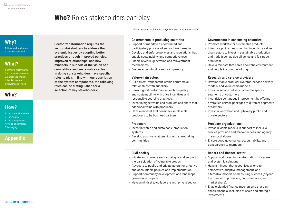# **Who?** Roles stakeholders can play

Sector transformation requires the sector stakeholders to address the systemic issues by adopting better practices through improved policies, improved relationships, and new mindsets in support of the vision of a competitive and sustainable sector. In doing so, stakeholders have specific roles to play. In line with our description of the system components, the following

roles can be distinguished for a selection of key stakeholders:

*Table 3: Roles stakeholders can play in sector transformation*

# <span id="page-22-0"></span>**[Why?](#page-7-0)**

[1. Structural weaknesses](#page-7-0) [2. Systems approach](#page-8-0)

# **[What?](#page-11-0)**

[1. Defining performance](#page-11-0) [2. Components & context](#page-12-0) [3. Landscape system](#page-14-0) [4. Market system](#page-16-0) [5. Governance system](#page-19-0)

# **Who?**

# **[How?](#page-23-0)**

[1. Sector transformation](#page-23-0) [2. Three steps](#page-24-0) [3. Sector diagnostics](#page-25-0) [4. Vision and strategy](#page-27-0) [5. Managing](#page-31-0)

# **[Appendix](#page-35-0)**

### **Governments in producing countries**

- Support or mandate a coordinated and participatory process of sector transformation
- Develop and enforce policies and regulations that enable sustainability and competitiveness
- Enable revenue generation and reinvestment mechanisms
- Ensure accountability and transparency

#### **Value-chain actors**

- Build direct, transparent, stable commercial relationships with suppliers
- Reward good performance (such as quality and sustainability) with price incentives and responsible sourcing practices.
- Invest in higher value end products and share that additional value with producers
- Have a mindset that considers small-scale producers to be business partners

#### **Producers**

- Invest in viable and sustainable production systems
- Develop positive relationships with surrounding communities

#### **Civil society**

- Initiate and convene sector dialogue and support the participation of vulnerable groups
- Advocate to public and private actors for effective and accountable policies and implementation
- Support community development and landscape governance projects
- Have a mindset to collaborate with private sector

#### **Governments in consuming countries**

- Promote markets for sustainable products
- Introduce policy measures that incentivize valuechain actors to invest in sustainable production and trade (such as due diligence and fair-trade practices)
- Have a mindset that cares about the environment and people in countries of origin

### **Research and service providers**

- Develop viable producer systems, service delivery models, and value-chain models. **•** Invest in service delivery tailored to specific segments of customers **•** Incentivize continuous improvement by offering diversified service packages to different segments of farmers **•** Invest in innovation and uptake by public and private sectors **Producer organizations •** Invest in viable models in support of inclusive service provision and market access and agency in sector dialogue **•** Ensure good governance, accountability, and transparency to members  **Donors and finance sector •** Support and invest in transformation processes and systemic solutions
- Have a mindset that recognizes a long-term perspective, adaptive management, and alternative models of measuring success (beyond the number of producers, cultivated area, and market share).
- Enable blended finance mechanisms that can enable financial inclusion at scale and strategic investments.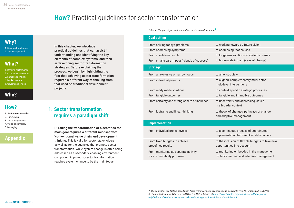# **How?** Practical guidelines for sector transformation

# <span id="page-23-0"></span>**[Why?](#page-7-0)**

[1. Structural weaknesses](#page-7-0) [2. Systems approach](#page-8-0)

# **[What?](#page-11-0)**

- [1. Defining performance](#page-11-0) [2. Components & context](#page-12-0) [3. Landscape system](#page-14-0)
- [4. Market system](#page-16-0)
- [5. Governance system](#page-19-0)

# **[Who?](#page-22-0)**

### **How?**

- 1. Sector transformation **1. Sector transformation**
- [2. Three steps](#page-24-0)
- [3. Sector diagnostics](#page-25-0)
- [4. Vision and strategy](#page-27-0)
- [5. Managing](#page-31-0)

# **[Appendix](#page-35-0)**

In this chapter, we introduce practical guidelines that can assist in understanding and identifying the key elements of complex systems, and then in developing sector transformation strategies. Before explaining the process, we begin by highlighting the fact that achieving sector transformation requires a different way of thinking from that used on traditional development projects.

### **1. Sector transformation requires a paradigm shift**

Pursuing the transformation of a sector as the main goal requires a different mindset from 'conventional' value chain and development thinking. This is valid for sector stakeholders, as well as for the agencies that promote sector transformation. While system change is often being addressed as a secondary 'enabling environment' component in projects, sector transformation requires system change to be the main focus.

*Table 4: The paradigm shift needed for sector transformation4*

| <b>Goal setting</b>                                                 |                                                                                        |
|---------------------------------------------------------------------|----------------------------------------------------------------------------------------|
| From solving today's problems                                       | to working towards a future vision                                                     |
| From addressing symptoms                                            | to addressing root causes                                                              |
| From short-term results                                             | to long-term solutions to systemic issues                                              |
| From small-scale impact (islands of success)                        | to large-scale impact (seas of change)                                                 |
| <b>Strategy</b>                                                     |                                                                                        |
| From an exclusive or narrow focus                                   | to a holistic view                                                                     |
| From individual projects                                            | to aligned, complementary multi-actor,<br>multi-level interventions                    |
| From ready-made solutions                                           | to context-specific strategic processes                                                |
| From tangible outcomes                                              | to tangible and intangible outcomes                                                    |
| From certainty and strong sphere of influence                       | to uncertainty and addressing issues<br>in a broader context                           |
| From logframe and linear thinking                                   | to theory of changes, pathways of change,<br>and adaptive management                   |
| <b>Implementation</b>                                               |                                                                                        |
| From individual project cycles                                      | to a continuous process of coordinated<br>implementation between key stakeholders      |
| From fixed budgets to achieve<br>predefined results                 | to the inclusion of flexible budgets to take new<br>opportunities into account         |
| From monitoring as separate activity<br>for accountability purposes | to monitoring embedded in the management<br>cycle for learning and adaptive management |

*4] The content of this table is based upon Aidenvironment's own experience and inspired by Herr, M., Uraguchi, Z. B. (2016) On Systemic Approach. What It Is and What It Is Not, published at https://www.helvetas.org/en/switzerland/how-you-canhelp/follow-us/blog/inclusive-systems/On-systemic-approach-what-it-is-and-what-it-is-not*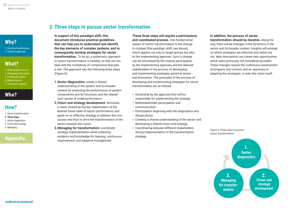<span id="page-24-0"></span>[1. Structural weaknesses](#page-7-0) [2. Systems approach](#page-8-0)

# **[What?](#page-11-0)**

- [1. Defining performance](#page-11-0) [2. Components & context](#page-12-0)
- [3. Landscape system](#page-14-0)
- [4. Market system](#page-16-0)
- [5. Governance system](#page-19-0)

# **[Who?](#page-22-0)**

# **[How?](#page-23-0)**

- [1. Sector transformation](#page-23-0)
- 2. Three steps **2. Three steps**
- [3. Sector diagnostics](#page-25-0)
- [4. Vision and strategy](#page-27-0) [5. Managing](#page-31-0)

# **[Appendix](#page-35-0)**

### **2.Three steps to pursue sector transformation**

In support of this paradigm shift, this document introduces practical guidelines that can help you to understand and identify the key elements of complex systems, and to consequently develop strategies for sector transformation. To do so, a systematic approach to sector transformation is needed, so that we can deal with the multiplicity of components that play a role. The approach has the following three steps (Figure 6):

- 1. Sector diagnostics: create a shared understanding of the system and its broader context by assessing the performance of system components and its functions, and the related root causes of underperformance.
- 2. Vision and strategy development: formulate a vision shared by the key stakeholders of the desired future state of sector performance, and agree on an effective strategy to address the root causes and thus to drive the transformation of the sector towards this vision.
- **3. Managing for transformation: coordinate** strategy implementation while collecting evidence and knowledge for learning, continuous improvement, and adaptive management.

These three steps will require a participatory and coordinated process. One fundamental

aspect of sector transformation is the change in mindset (the paradigm shift; see above), which applies not only to target groups but also to the implementing agencies. Such a change can be stimulated by the intense participation by the implementing agencies and the relevant stakeholders in the process of developing and implementing strategies aimed at sector transformation. The principles of the process of developing and implementing strategies for sector transformation are as follows:

- Ownership by the agencies that will be responsible for implementing the strategy
- Multistakeholder participation and communication
- Participation beginning with the diagnostics and design phase
- Creating a shared understanding of the sector and developing a shared vision and strategy.
- Coordinating between different stakeholders during implementation of the transformation strategy.

#### In addition, the process of sector transformation should be iterative. Along the

way, there will be changes in the dynamics in the sector and its broader context. Insights will emerge on which strategies are effective and which are not. New innovations can create new opportunities which were previously not considered possible. These changes require the continuous assessment of progress and context, and an openness to adapting the strategies, or even the vision itself.



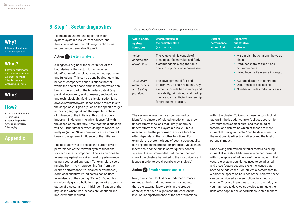<span id="page-25-0"></span>[1. Structural weaknesses](#page-7-0) [2. Systems approach](#page-8-0)

# **[What?](#page-11-0)**

- [1. Defining performance](#page-11-0) [2. Components & context](#page-12-0)
- [3. Landscape system](#page-14-0)
- [4. Market system](#page-16-0)
- [5. Governance system](#page-19-0)

# **[Who?](#page-22-0)**

# **[How?](#page-23-0)**

- [1. Sector transformation](#page-23-0)
- [2. Three steps](#page-24-0)
- 3. Sector diagnostics **3. Sector diagnostics**
- [4. Vision and strategy](#page-27-0) [5. Managing](#page-31-0)

# **[Appendix](#page-35-0)**

### **3.Step 1: Sector diagnostics**

To create an understanding of the wider system, systemic issues, root causes, and their interrelations, the following 3 actions are recommended, see also Figure 7:

### **Action 1 System analysis**

A diagnosis begins with the definition of the boundaries of the sector. It then requires identification of the relevant system components and functions. This can be done by distinguishing between components and functions that fall within the sector scope and the factors which can be considered part of the broader context (e.g., political, economic, environmental, sociocultural, and technological). Making this distinction is not always straightforward. It can help to relate this to the scope of your goals (such as the specific target actors or geography) and the expected sphere of influence of the initiative. This distinction is important in determining which issues fall within the scope of the strategy. Note that this distinction will be further detailed when doing the root cause analysis (Action 3), as some root causes may fall beyond the sphere of influence of the initiative.

The next activity is to assess the current level of performance of the relevant system functions, for each system component. This can be done by assessing against a desired level of performance using a scorecard approach (for example, a score ranging from 1 to 4, representing "far from the desired performance" to "desired performance"). Additional quantitative indicators can be used as evidence of the scoring (Table 5). Doing this consistently gives a holistic snapshot of the current status of a sector and an initial identification of the key issues where weaknesses are identified and improvements required.

#### *Table 5: Example of a scorecard to assess system functions*

| <b>Value chain</b><br>system<br><b>functions</b>         | <b>Characteristics of</b><br>the desirable state<br>(a score of 4)                                                                                                                                                     | <b>Current</b><br>performance,<br>scored $1-4$ | <b>Supportive</b><br>quantitative<br>evidence                                                                                             |
|----------------------------------------------------------|------------------------------------------------------------------------------------------------------------------------------------------------------------------------------------------------------------------------|------------------------------------------------|-------------------------------------------------------------------------------------------------------------------------------------------|
| Value<br>addition and<br>distribution                    | The value chain is capable of<br>creating sufficient value and fairly<br>distributing this along the value<br>chain to support viable businesses                                                                       |                                                | • Margin distribution along the value<br>chain<br>• Producer share of export and<br>consumer price<br>• Living Income Reference Price gap |
| Value chain<br>relationships<br>and trading<br>practices | The development of fair and<br>efficient value chain relations. Key<br>elements include transparency and<br>traceability, fair pricing, and trading<br>practices, and sufficient ownership<br>for producers, at scale. |                                                | • Average duration of contracts<br>• Occurrence of side selling<br>• Number of trade arbitration cases                                    |

The system assessment can be finalized by identifying clusters of related functions that show underperformance, and that jointly determine underperformance of a systemic issue. This is relevant as the the performance of one function often depends on that of other functions. For example, the systemic issue of poor product quality can depend on the production practices, value chain incentives, and the public sector quality control system. It is recommended that the number and size of the clusters be limited to the most significant issues in order to avoid 'paralysis by analysis'.

### **Action 2 Broader context analysis**

Next, one should look at how underperformance relates to the broader context. In most cases, there are external factors (within the broader context) that have a significant influence on the level of underperformance of the set of functions within the cluster. To identify these factors, look at factors in the broader context (political, economic, environmental, sociocultural and technological factors) and determine which of these are most influential. Being 'influential' can be determined by the relationship (direct or indirect) and the level of potential impact.

Once having determined external factors as being influential, one should determine whether these fall within the sphere of influence of the initiative. In that case, the system boundaries need to be adjusted and these factors become systemic issues that need to be addressed. For influential factors that fall outside the sphere of influence of the initiative, these can be considered as assumptions in a theory of change. They are important to have on the radar, as you may need to develop strategies to mitigate their risks or to capture the opportunities related to them.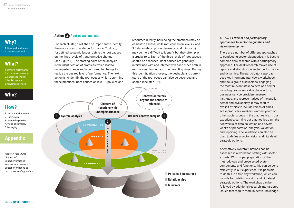[1. Structural weaknesses](#page-7-0) [2. Systems approach](#page-8-0)

# **[What?](#page-11-0)**

- [1. Defining performance](#page-11-0) [2. Components & context](#page-12-0)
- [3. Landscape system](#page-14-0)
- [4. Market system](#page-16-0) [5. Governance system](#page-19-0)

# **[Who?](#page-22-0)**

# **[How?](#page-23-0)**

- [1. Sector transformation](#page-23-0)
- [2. Three steps](#page-24-0)
- [3. Sector diagnostics](#page-25-0) **3. Sector diagnostics**
- [4. Vision and strategy](#page-27-0)
- [5. Managing](#page-31-0)

# **[Appendix](#page-35-0)**

*Figure 7: Identifying clusters of underperformance and the root causes of underperformance as part of sector diagnostics*

### **Action 3 Root cause analysis**

For each cluster, it will then be important to identify the root causes of underperformance. To do so, for defined systemic issues, define the root causes on the three levels of transformative change (see Figure 1). The starting point of the analysis is the identification of practices which lead to underperformance and would need to change to realize the desired level of performance. The next action is to identify the root causes which determine these practices. Root causes on level 1 (policies and resources directly influencing the practices) may be easiest to assess, while root causes on levels 2 and 3 (relationships, power dynamics, and mindsets) may be more difficult to identify, but they often play a crucial role. Each of the three levels of root causes should be assessed. Root causes are generally intertwined with and interact with each other, both in mutually reinforcing and counteracting ways. During this identification process, the desirable and current state of the root cause can also be described and scored (see step 1.2).



*Text box 6: Efficient and participatory approaches to sector diagnostics and vision development*

There are a number of different approaches to conducting sector diagnostics. It is best to combine desk research with a participatory approach. The desk research makes use of reports and statistics on sector performance and dynamics. The participatory approach uses key informant interviews, workshops, and focus group discussions, engaging the most relevant stakeholders of a sector, including producers, value chain actors, business service providers, research institutes, and representatives of the public sector and civil society. It may require explicit efforts to include voices of smallscale producers, workers, women, youth or other social groups in the diagnostics. In our experience, carrying out diagnostics can take two weeks of data collection and several weeks of preparation, analysis, validation, and reporting. The validation can also be used to define a sector vision and high-level strategic options.

Alternatively, system functions can be assessed in a workshop setting with sector experts. With proper preparation of the methodology and preselected system components and functions, this can be done efficiently. In our experience, it is possible to do this in a two-day workshop, which can include formulating a vision and high-level strategic options. The workshop can be followed by additional research into targeted issues that require more in-depth knowledge.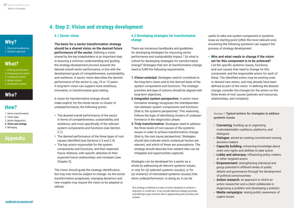<span id="page-27-0"></span>[1. Structural weaknesses](#page-7-0) [2. Systems approach](#page-8-0)

# **[What?](#page-11-0)**

- [1. Defining performance](#page-11-0) [2. Components & context](#page-12-0)
- [3. Landscape system](#page-14-0)
- [4. Market system](#page-16-0)
- [5. Governance system](#page-19-0)

# **[Who?](#page-22-0)**

# **[How?](#page-23-0)**

- [1. Sector transformation](#page-23-0)
- [2. Three steps](#page-24-0)
- [3. Sector diagnostics](#page-25-0)
- 4. Vision and strategy **4. Vision and strategy** [5. Managing](#page-31-0)

# **[Appendix](#page-35-0)**

# **4. Step 2: Vision and strategy development**

#### **4.1 Sector vision**

### The basis for a sector transformation strategy should be a shared vision on the desired future

**performance of the sector.** Defining a vision shared by the key stakeholders is an important step in ensuring a common understanding and guiding the strategy development process towards the desired overall sector performance, in line with the development goals of competitiveness, sustainability, and resilience. A sector vision describes the desired performance of the sector in, say, 10 or 15 years. A long-term vision can support more ambitious, innovative, or transformative goal setting.

A vision for transformative change should make explicit, for the whole sector or cluster of underperformance, the following points:

- The desired overall performance of the sector in terms of competitiveness, sustainability, and resilience, and more specifically of the relevant system components and functions (see Section 2.1).
- The desired performance of the three types of root causes identified (see Sections 2.3 and 2.4).
- The key actors responsible for the system components and functions, and their expected future relations, with specific attention to their expected future relationships and mindsets (see Chapter 3).

The vision should guide the strategy identification, but may over time be subject to change. As the sector transformation progresses, changing dynamics and new insights may require the vision to be adapted or refined.

### **4.2 Developing strategies for transformative change**

There are numerous handbooks and guidelines for developing strategies for improving sector performance and sustainability impact.*5* So what is critical for developing strategies for transformative change? Strategies that aim at transformative change need to fulfill the following requirements.

- 1. Vision-oriented: Strategies need to contribute to the long-term vision and to the desired state of the system components and functions. The strategic priorities and type of actions should be aligned with long-term objectives.
- 2. Integrated system perspective: A sector transformation strategy recognizes the interdependencies between system components and functions (that is, the systems perspective). This reasoning follows the logic of identifying clusters of underperformance in the diagnostics phase.
- **3. Truly transformative:** Strategies need to address the three levels of root causes of the systemic issues in order to achieve transformative change (that is, the root cause perspective). Strategies should also indicate which contextual factors are relevant, and which of these are assumptions. The strategy should describe how related risks can be mitigated and opportunities captured.

Strategies can be developed for a sector as a whole by addressing all relevant systemic issues, or only for (a) selected systemic issue(s), or for (a) cluster(s) of interrelated systemic issue(s) that show underperformance. In doing so, it can be

*5] A strategy is defined as a plan of action designed to achieve a long-term or overall aim. It can include defining strategic priorities, and defining a type of action that is appropriate given priorities and context.*

useful to take one system component or systemic issue as starting point (often the most relevant one). Answering the following questions can support the process of strategy development.

#### **•** Who and what needs to change if the vision set for this component is to be achieved?

List the specific systemic issues, functions, and root causes that need to change for this component, and the responsible actors for each of these. The identified actors may be existing ones or desired new actors, and may already have been defined as part of the vision. In defining the desired change, consider the changes for the actors on the three levels of root causes (policies and resources, relationships, and mindsets).

*Text box 7: Typical actions for strategies to address systemic issues*

- **•** Convening: building up or organizing multistakeholder coalitions, platforms, and dialogues
- **Dialogue**: aimed at creating commitment among decision-makers
- Capacity building: enhancing knowledge about one's own rights and abilities to take action
- Lobby and advocacy: influencing policy makers or other targeted actors
- Empowerment: strengthening individual and group potential in different levels of public debate and governance through the development of political consciousness
- **•** Action research: an approach in which an action researcher and a client collaborate in diagnosing a problem and developing a solution
- **•** Media campaigns: raising public awareness of urgent issues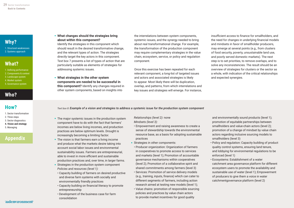[1. Structural weaknesses](#page-7-0) [2. Systems approach](#page-8-0)

# **[What?](#page-11-0)**

- [1. Defining performance](#page-11-0) [2. Components & context](#page-12-0)
- [3. Landscape system](#page-14-0) [4. Market system](#page-16-0)
- [5. Governance system](#page-19-0)

# **[Who?](#page-22-0)**

# **[How?](#page-23-0)**

- [1. Sector transformation](#page-23-0)
- [2. Three steps](#page-24-0)
- [3. Sector diagnostics](#page-25-0)
- 4. Vision and strategy **[4. Vision and strategy](#page-27-0)** [5. Managing](#page-31-0)

# **[Appendix](#page-35-0)**

### **•** What changes should the strategies bring about within this component?

 Identify the strategies in this component which should result in the desired transformative change, and the relevant types of action. The strategies directly target the key actors in this component. Text box 7 presents a list of types of action that are particularly suitable as elements of strategies for addressing systemic issues.

**•** What strategies in the other system components are needed to be successful in this component? Identify any changes required in other system components, based on insights into

the interrelations between system components, systemic issues, and the synergy needed to bring about real transformational change. For example, the transformation of the production component may require complementary strategies in the value chain, ecosystem, service, or policy and regulation component.

 Once this exercise has been repeated for each relevant component, a long-list of targeted issues and actors and associated strategies is likely to appear. Most likely there will be duplication, overlap, and patterns, from which interrelations and key issues and strategies will emerge. For instance, insufficient access to finance for smallholders, and the need for changes in underlying financial models and mindsets in favor of smallholder producers, may emerge at several points (e.g., from clusters of food security, poverty, unsustainable land use, and poorly served domestic markets). The next step is to set priorities, to remove overlaps, and to solve any inconsistencies. The result should be an overview of strategies for clusters or the sector as a whole, with indication of the critical relationships and expected synergies.

*Text box 8: Example of a vision and strategies to address a systemic issue for the production system component*

- **•** The major systemic issues in the production system component have to do with the fact that farmers' incomes are below living incomes, and production practices are below optimum levels. Drought is increasingly becoming a limiting factor.
- **•** The vision is that farmers earn a living income and produce what the markets desire taking into account social labor issues and environmental sustainability issues. Farmers are entrepreneurial, able to invest in more efficient and sustainable production practices and, over time, in larger farms.
- **•** Strategies in the production system component *Policies and resources (level 1):*
- Capacity building of farmers on desired productive and diverse farm systems with socially and environmentally friendly practices
- Capacity building on financial literacy to promote entrepreneurship
- Development of the business case for farm consolidation

*Relationships (level 2):* none *Mindsets (level 3):* 

- Empowerment and raising awareness to create a sense of stewardship towards the environmental resource base, as a basis for adopting sustainable practices
- **•** Strategies in other components:
	- Producer organization: Organization of farmers in cooperatives to promote access to services and markets (level 1); Promotion of accountable governance mechanisms within cooperatives (level 2); Promotion of a collaborative spirit and shared commitments among farmers (level 3) • Services: Promotion of service delivery models (e.g., training, inputs, finance) which can cater to different segments of farmers, including action research aimed at testing new models (level 1); • Value chains: promotion of responsible sourcing
	- policies and practices by value chain actors to provide market incentives for good quality

and environmentally sound products (level 1); promotion of equitable partnerships between smallholders and value-chain actors (level 2); promotion of a change of mindset by value chain actors regarding inclusive sourcing models to smallholders (level 3)

- Policy and regulation: Capacity building of product quality control systems, ensuring land tenure, and lobbying for environmental regulations to be enforced (level 1)
- Ecosystems: Establishment of a water catchment area governance platform for different ecosystem users to promote the availability and sustainable use of water (level 1); Empowerment of producers to give them a voice in water catchmentgovernance platform (level 2)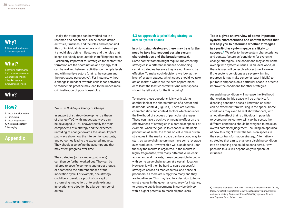[1. Structural weaknesses](#page-7-0) [2. Systems approach](#page-8-0)

# **[What?](#page-11-0)**

- [1. Defining performance](#page-11-0) [2. Components & context](#page-12-0) [3. Landscape system](#page-14-0)
- [4. Market system](#page-16-0)
- [5. Governance system](#page-19-0)

# **[Who?](#page-22-0)**

# **[How?](#page-23-0)**

- [1. Sector transformation](#page-23-0)
- [2. Three steps](#page-24-0)
- [3. Sector diagnostics](#page-25-0)
- 4. Vision and strategy **[4. Vision and strategy](#page-27-0)** [5. Managing](#page-31-0)

# **[Appendix](#page-35-0)**

Finally, the strategies can be worked out in a roadmap and action plan. These should define activities, timelines, and the roles and responsibilities of individual stakeholders and partnerships. It should also define milestones and the rules that keeps everybody accountable in fulfilling their roles. Particularly important for strategies for sector transformation are the coordination and synergy that can be realized between activities on multiple levels and with multiple actors (that is, the system and the root-cause perspective). For instance, without a change in mindset towards child labor, activities to reduce this practice may lead to the undesirable criminalization of poor households.

#### *Text box 9: Building a Theory of Change*

In support of strategy development, a theory of change (ToC) with impact pathways can be developed. A ToC shows visually the main components of a strategy and the expected unfolding of change towards the vision. Impact pathways show how the interventions, outputs, and outcomes lead to the expected impacts. They should also define the assumptions that may affect progress over time.

The strategies (or key impact pathways) can then be further worked out. They can be tailored to specific contexts and target groups, or adapted to the different phases of the innovation cycle. For example, one strategy could be to develop a proof of concept of a promising innovation, or to scale existing innovations to adoption by a larger number of actors.

### **4.3 An approach to prioritizing strategies across system spaces**

#### In prioritizing strategies, there may be a further need to take into account certain system characteristics and the broader context.

Some context factors might require implementing strategies in a different sequence or dropping certain strategies because they are not likely to be effective. To make such decisions, we look at the level of system spaces: which space should we take action in first? Where are the best opportunities, or at least the least constraints? And what spaces should be left aside for the time being?

To answer these questions, it is worth taking another look at the characteristics of a sector and its broader context (Figure 4). There are system characteristics and context factors which influence the likelihood of success of particular strategies. These can have a positive or negative effect on the effectiveness of strategies in a particular space. For example, when the goal is to enhance sustainable production at scale, the focus on value-chain driven strategies in the market space can be a good way to start, as value-chain actors may have some leverage over producers. However, this will also depend upon the way the market is organized. If the market is highly fragmented, with many different value-chain actors and end markets, it may be possible to begin with some value-chain actors at a certain location However, it will then be hard to scale successful strategies across all market actors, and hence all producers, as there are simply too many and they are too diverse. This may lead to a decision to focus on strategies in the governance space—for instance, to promote public investments in service delivery with a higher potential to reach all producers.

#### Table 6 gives an overview of some important system characteristics and context factors that will help you to determine whether strategies in a particular system space are likely to

**succeed.**<sup>6</sup> We refer to these system characteristics and context factors as 'conditions for systemic change strategies'. The conditions may show some overlap with systemic issues. In an ideal world, all these issues will be resolved over time. However, if the sector's conditions are severely limiting progress, it may make sense (at least initially) to put more emphasis on a particular space in order to improve the conditions for other strategies.

An enabling condition will increase the likelihood that working in this space will be effective. A disabling condition poses a limitation on what can be expected from working in the space. Some conditions may even be real showstoppers, with a negative effect that is difficult or impossible to overcome. As context will vary by sector, the different conditions should be weighed to make an overall combined judgement, including an appraisal of how this might affect the focus on spaces in the sector transformation strategy. Alternatively, strategies that aim to change a disabling condition into an enabling one could be considered. How possible this is will depend on your sphere of influence.

*6] This table is adapted from ISEAL Alliance & Aidenvironment (2020), Choosing effective strategies to drive sustainability improvements: A decision-making framework for sustainability systems to take enabling conditions into account*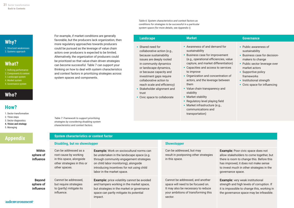[1. Structural weaknesses](#page-7-0) [2. Systems approach](#page-8-0)

# **[What?](#page-11-0)**

- [1. Defining performance](#page-11-0) [2. Components & context](#page-12-0)
- [3. Landscape system](#page-14-0)
- [4. Market system](#page-16-0)
- [5. Governance system](#page-19-0)

# **[Who?](#page-22-0)**

# **[How?](#page-23-0)**

- [1. Sector transformation](#page-23-0)
- [2. Three steps](#page-24-0)
- [3. Sector diagnostics](#page-25-0)
- 4. Vision and strategy **[4. Vision and strategy](#page-27-0)** [5. Managing](#page-31-0)

# **[Appendix](#page-35-0)**

Within sphere of influence

#### Beyond sphere of influence

Cannot be addressed, but require strategies to (partly) mitigate its influence.

Can be addressed as a root cause by working in this space, alongside other strategies in this or

other spaces.

**Disabling, but no showstopper**

**System characteristics or context factor**

**Example:** Work on sociocultural norms can be undertaken in the landscape space (e.g. through community engagement strategies on child labor monitoring), alongside introducing incentives for not using child

**Example:** price volatility cannot be avoided and hampers working in the market space, but strategies in the market or governance space can partly mitigate its potential

labor in the market space.

impact.

*Table 6: System characteristics and context factors as conditions for strategies to be successful in a particular system space (for more details, see Appendix I).*

| For example, if market conditions are generally<br>favorable, but the producers lack organization, then                                                                                                                                                                                                                                                                                                                                                                                                             | <b>Landscape</b>                                                                                                                                                                                                                                                                                                                                  | <b>Market</b>                                                                                                                                                                                                                                                                                                                                                                                                                                                                                    | <b>Governance</b>                                                                                                                                                                                                                                |
|---------------------------------------------------------------------------------------------------------------------------------------------------------------------------------------------------------------------------------------------------------------------------------------------------------------------------------------------------------------------------------------------------------------------------------------------------------------------------------------------------------------------|---------------------------------------------------------------------------------------------------------------------------------------------------------------------------------------------------------------------------------------------------------------------------------------------------------------------------------------------------|--------------------------------------------------------------------------------------------------------------------------------------------------------------------------------------------------------------------------------------------------------------------------------------------------------------------------------------------------------------------------------------------------------------------------------------------------------------------------------------------------|--------------------------------------------------------------------------------------------------------------------------------------------------------------------------------------------------------------------------------------------------|
| more regulatory approaches towards producers<br>could be pursued as the leverage of value chain<br>actors over producers is expected to be limited.<br>Alternatively, the organization of producers could<br>be prioritized so that value-chain driven strategies<br>can become successful. Table 7 can support your<br>thinking on how to deal with system characteristics<br>and context factors in prioritizing strategies across<br>system spaces and components.<br>Table 7: Framework to support prioritizing | • Shared need for<br>collaborative action (e.g.,<br>because sustainability<br>issues are deeply rooted<br>in community dynamics<br>or landscape dynamics,<br>or because capacity and<br>investment gaps require<br>collaborative action to<br>reach scale and efficiency)<br>• Stakeholder alignment and<br>trust<br>• Civic space to collaborate | • Awareness of and demand for<br>sustainability<br>• Business case for improvement<br>(e.g., operational efficiencies, value<br>capture, and market differentiation)<br>• Capacities and access to services<br>to improve<br>• Organization and concentration of<br>actors, and the leverage between<br>them<br>• Value chain transparency and<br>stability<br>• Market stability<br>• Regulatory level playing field<br>• Market infrastructure (e.g.,<br>communications and<br>transportation) | • Public awareness of<br>sustainability<br>• Business case for decision-<br>makers to change<br>• Public sector leverage over<br>market actors<br>• Supportive policy<br>frameworks<br>• Institutional strength<br>• Civic space for influencing |
| strategies by considering disabling system<br>characteristics and context factors.                                                                                                                                                                                                                                                                                                                                                                                                                                  |                                                                                                                                                                                                                                                                                                                                                   |                                                                                                                                                                                                                                                                                                                                                                                                                                                                                                  |                                                                                                                                                                                                                                                  |
| <b>Custom pharaotoriction or context factor</b>                                                                                                                                                                                                                                                                                                                                                                                                                                                                     |                                                                                                                                                                                                                                                                                                                                                   |                                                                                                                                                                                                                                                                                                                                                                                                                                                                                                  |                                                                                                                                                                                                                                                  |

### **Showstopper**

Can be addressed, but may result in postponing other strategies in this space.

Cannot be addressed, and another space will need to be focused on. It may also be necessary to reduce your ambitions of transforming this sector.

**Example:** Poor civic space does not allow stakeholders to come together, but there is room to change this. Before this has improved, it does not make sense to invest much in other strategies in the governance space.

**Example:** very weak institutional strength and high levels of corruption. If it is impossible to change this, working in the governance space may be infeasible.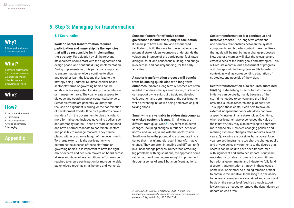<span id="page-31-0"></span>

[1. Structural weaknesses](#page-7-0) [2. Systems approach](#page-8-0)

# **[What?](#page-11-0)**

- [1. Defining performance](#page-11-0) [2. Components & context](#page-12-0)
- [3. Landscape system](#page-14-0)
- [4. Market system](#page-16-0)
- [5. Governance system](#page-19-0)

# **[Who?](#page-22-0)**

# **[How?](#page-23-0)**

- [1. Sector transformation](#page-23-0)
- [2. Three steps](#page-24-0)
- [3. Sector diagnostics](#page-25-0)
- [4. Vision and strategy](#page-27-0)
- 5. Managing **5. Managing**

# **[Appendix](#page-35-0)**

### **5. Step 3: Managing for transformation**

#### **5.1 Coordination**

#### Work on sector transformation requires participation and ownership by the agencies that will be responsible for implementing

the strategy. Participation by all the relevant stakeholders should start with the diagnostics and design phase, and continue during implementation. During implementation, it is particularly important to ensure that stakeholders continue to align and together learn the lessons that lead to the strategy being updated. Multistakeholder-based sector platforms or governing bodies can be established or supported to take up the facilitation or management role. They can create a space for dialogue and coordination by sector stakeholders. Sector platforms are generally voluntary and focused on alignment, learning, or the coordination of development efforts. It helps if platforms have a mandate from the government to play this role. A more formal set-up includes governing bodies, such as Commodity Boards. These are state-sanctioned and have a formal mandate to coordinate sectors, and possibly to manage markets. They can be placed within or at arm's length of the government. To a large extent, it is the participants who determine the success of these platforms or governing bodies. It is important to have the right mix of experts and decision-makers on board across all relevant stakeholders. Additional effort may be required to ensure participation by more vulnerable stakeholders (such as smallholders and workers).

### Success factors for effective sector governance include the quality of facilitation.

It can help to have a neutral and experienced facilitator to build the case for the initiative among potential stakeholders—someone understands the values and interests of the participants; facilitates dialogue, trust, and consensus building; and brings in expertise, and possibly funding, for the early activities.

### A sector transformation process will benefit from balancing quick wins with long-term

outcomes. Whereas long-term outcomes are often needed to address the systemic issues, quick wins can support ownership, build trust, and develop collaboration and commitment of the participants, while preventing initiatives being perceived as just talking shops.

### Small wins are valuable in addressing complex or wicked systemic issues. Small wins are different from quick wins.*7* They refer to in-depth changes, including changes in routines, behavior, norms, and values, in line with the sector vision. Small wins have the potential to accumulate into a series that may ultimately result in transformative change. They are often intangible and difficult to fit

in a linear change process. Rather than attacking big problems with big solutions, the approach could rather be one of creating meaningful improvement through a series of small, but significant, actions.

### Sector transformation is a continuous and iterative process. The long-term ambitions and complex relationships between the system components and broader context make it unlikely

that goals will be met by linear change processes. New sector dynamics will alter the relevance and effectiveness of the initial goals and strategies. This will require a continuous assessment of progress and changes within the system and its broader context, as well as corresponding adaptation of strategies, and possibly of the vision.

#### Sector transformation also requires sustained

funding. Establishing a sector transformation initiative can be costly, mainly because of the staff time needed to convene and the initial activities, such as research and pilot activities. To support these costs, it can help to have an external independent donor who does not have a specific interest in any stakeholder. Over time, when participants have experienced the value of the initiative, they may also be willing to contribute more financially. However, changing policies and realizing systemic changes often requires several years. Quick wins are possible, but a typical fouryear project timeframe is too short to change public and private policy environments to the degree that sectors can be said to have been transformed with significant and sustained impact. Four years may also be too short to create the commitment by national governments and industry to fully fund a sector transformation strategy. In these cases, some level of external co-funding remains critical to continue the initiative. In the long-run, the ability to generate revenues on a sustained and consistent basis on the sector level (such as though export levies) may be needed to remove the dependency on donors or lead firms.

*7] Catrien J.A.M, Termeer & Art Dewulf (2019) A small wins framework to overcome the evaluation paradox of governing wicked problems, Policy and Society, 38:2, 298–314*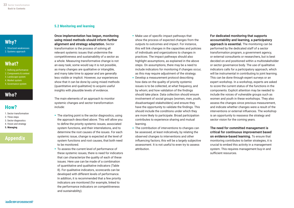[1. Structural weaknesses](#page-7-0) [2. Systems approach](#page-8-0)

# **[What?](#page-11-0)**

- [1. Defining performance](#page-11-0) [2. Components & context](#page-12-0)
- [3. Landscape system](#page-14-0)
- [4. Market system](#page-16-0)
- [5. Governance system](#page-19-0)

# **[Who?](#page-22-0)**

# **[How?](#page-23-0)**

- [1. Sector transformation](#page-23-0)
- [2. Three steps](#page-24-0)
- [3. Sector diagnostics](#page-25-0) [4. Vision and strategy](#page-27-0)
- 
- 5. Managing **[5. Managing](#page-31-0)**

# **[Appendix](#page-35-0)**

### **5.2 Monitoring and learning**

#### Once implementation has begun, monitoring using mixed methods should inform further alignment and strategy adaptation. Sector

transformation is the process of solving all relevant systemic issues that undermine the competitiveness and sustainability of a sector as a whole. Measuring transformative change is not an easy task; some would say it is not possible, as many changes are qualitative or intangible, and many take time to appear and are generally less visible or implicit. However, our experiences show that it can be done by using mixed methods (quantitative and qualitative) to acquire useful insights with plausible levels of evidence.

The main elements of an approach to monitor systemic changes and sector transformation include:

- The starting point is the sector diagnostics, using the approach described above. This will allow you to define the priority systemic issues, associated system functions, and their interrelations, and to determine the root causes of the issues. For each systemic issue, change is expected at the level of system functions and root causes, that both need to be monitored.
- To assess the current level of performance of these systemic issues, there is need for indicators that can characterize the quality of each of these issues. Here use can be made of a combination of quantitative and qualitative indicators (Table 8). For qualitative indicators, scorecards can be developed with different levels of performance. In addition, it is recommended that a few priority indicators are monitored (for example, linked to the performance indicators on competitiveness and sustainability).
- Make use of specific impact pathways that show the process of expected changes from the outputs to outcomes and impact. For instance, this will link changes in the capacities and policies of individuals and organizations to changes in practices. The impact pathways should also highlight assumptions, as explained in the above steps. On assumptions, there may be a need to include indicators for monitoring if changes occur, as this may require adjustment of the strategy.
- Develop a measurement protocol describing how data on the quality of priority systemic issues is to be collected, at what frequency, and by whom; and how validation of the findings should take place. Data collection should ensure involvement of social groups (women, men, youth, disadvantaged stakeholders) and ensure they have the opportunity to validate the findings. This should include the conditions under which they are more likely to participate. Broad participation contributes to experience sharing and mutual learning.
- The contribution of interventions to changes can be assessed, at least indicatively, by relating the observed changes to interventions and other influencing factors; this will be a largely subjective assessment. It is not useful to even try to assess attribution.

### For dedicated monitoring that supports accountability and learning, a participatory

approach is essential. The monitoring can be performed by the dedicated staff of a sector transformation program, a government agency, or external consultants or researchers, but is best decided on and positioned within a multistakeholder or sector governance body. The use of qualitative indicators calls for a participatory approach, which will be instrumental in contributing to joint learning. This can be done through expert surveys or an expert workshop. In a workshop, experts are asked to score the current status of the functions in the components. Explicit attention may be needed to include the voices of vulnerable groups such as women and youth in these workshops. They also assess the changes since previous measurement, and indicate whether changes were a result of the interventions or external influences. The workshop is an opportunity to reassess the strategy and sector vision for the coming years.

### The need for committed management is critical for continuous improvement based on evidence-based learning. To ensure that monitoring contributes to better strategies, it is crucial to embed this activity in a management system. This requires management buy-in and sufficient resources.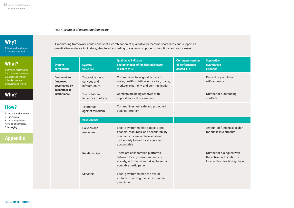#### *Table 8: Example of monitoring framework*

# **[Why?](#page-7-0)**

[1. Structural weaknesses](#page-7-0) [2. Systems approach](#page-8-0)

# **[What?](#page-11-0)**

[1. Defining performance](#page-11-0) [2. Components & context](#page-12-0)

- [3. Landscape system](#page-14-0)
- [4. Market system](#page-16-0)
- [5. Governance system](#page-19-0)

# **[Who?](#page-22-0)**

# **[How?](#page-23-0)**

- [1. Sector transformation](#page-23-0)
- [2. Three steps](#page-24-0)
- [3. Sector diagnostics](#page-25-0)
- [4. Vision and strategy](#page-27-0)

**[Appendix](#page-35-0)**

5. Managing **[5. Managing](#page-31-0)**

### A monitoring framework could consist of a combination of qualitative perception scorecards and supportive quantitative evidence indicators, structured according to system components, functions and root causes.

| <b>System</b><br>component                                        | <b>System</b><br><b>functions</b>                  | <b>Qualitative indicator</b><br>characteristics of the desirable state<br>$(a \text{ score of } 4)$                                                                      | <b>Current perception</b><br>of performance,<br>scored $1 - 4$ | <b>Supportive</b><br>quantitative<br>evidence                                             |
|-------------------------------------------------------------------|----------------------------------------------------|--------------------------------------------------------------------------------------------------------------------------------------------------------------------------|----------------------------------------------------------------|-------------------------------------------------------------------------------------------|
| <b>Communities</b><br>(improved<br>governance by<br>decentralized | To provide basic<br>services and<br>infrastructure | Communities have good access to<br>water, health, nutrition, education, roads,<br>markets, electricity, and communication                                                |                                                                | Percent of population<br>with access to                                                   |
| institutions)                                                     | To contribute<br>to resolve conflicts              | Conflicts are being resolved with<br>support by local government                                                                                                         |                                                                | Number of outstanding<br>conflicts                                                        |
|                                                                   | To protect<br>against terrorism                    | Communities feel safe and protected<br>against terrorism                                                                                                                 |                                                                |                                                                                           |
|                                                                   | <b>Root causes</b>                                 |                                                                                                                                                                          |                                                                |                                                                                           |
|                                                                   | Policies and<br>resources                          | Local government has capacity and<br>financial resources, and accountability<br>mechanisms are in place, enabling<br>civil society to hold local agencies<br>accountable |                                                                | Amount of funding available<br>for public investments                                     |
|                                                                   | Relationships                                      | There are collaboration platforms<br>between local government and civil<br>society, with decision-making based on<br>equitable participation                             |                                                                | Number of dialogues with<br>the active participation of<br>local authorities taking place |
|                                                                   | Mindsets                                           | Local government has the overall<br>attitude of serving the citizens in their<br>jurisdiction                                                                            |                                                                |                                                                                           |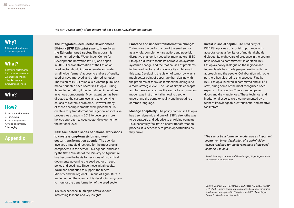*Text box 10: Case study of the Integrated Seed Sector Development Ethiopia*

# <span id="page-34-0"></span>**[Why?](#page-7-0)**

[1. Structural weaknesses](#page-7-0) [2. Systems approach](#page-8-0)

# **[What?](#page-11-0)**

- [1. Defining performance](#page-11-0) [2. Components & context](#page-12-0)
- [3. Landscape system](#page-14-0)
- [4. Market system](#page-16-0)
- [5. Governance system](#page-19-0)

# **[Who?](#page-22-0)**

# **[How?](#page-23-0)**

- [1. Sector transformation](#page-23-0)
- [2. Three steps](#page-24-0)
- [3. Sector diagnostics](#page-25-0)
- [4. Vision and strategy](#page-27-0)
- 5. Managing **[5. Managing](#page-31-0)**

# **[Appendix](#page-35-0)**

### The Integrated Seed Sector Development Ethiopia (IISD Ethiopia) aims to transform

the Ethiopian seed sector. The program is implemented by the Wageningen Centre for Development Innovation (WCDI) and began in 2012. The transformation of the Ethiopian seed sector should improve female and male smallholder farmers' access to and use of quality seed of new, improved, and preferred varieties. The vision of ISSD Ethiopia is a vibrant, pluralistic, market-oriented seed sector in Ethiopia. During its implementation, it has introduced innovations in various components. Much attention has been directed to the system level and to underlying causes of systemic problems. However, many of these accomplishments were piecemeal. To create a truly transformational agenda, an inclusive process was begun in 2018 to develop a more holistic approach to seed sector development on the national level.

#### ISSD facilitated a series of national workshops to create a long-term vision and seed sector transformation agenda. The agenda

involves strategic directions for the most crucial components in the sector. This agenda, endorsed by the State Minister of the Ministry of Agriculture, has become the basis for revisions of two critical documents governing the seed sector on seed policy and seed law. Since these initial results, WCDI has continued to support the federal Ministry and the regional Bureaus of Agriculture in implementing the agenda. It is developing a system to monitor the transformation of the seed sector.

ISSD's experience in Ethiopia offers various interesting lessons and key insights.

#### Embrace and unpack transformative change:

To improve the performance of the seed sector as a whole, complementary action, and possibly disruptive change, is needed by many actors. ISSD Ethiopia did well to focus its narrative on systems, systemic change, and the root causes of problems in the seed sector, and to elevate its ambitions in this way. Developing the vision of tomorrow was a much better point of departure than dealing with the problems of today, as it raised the dialogue to a more strategic level. The use of simple concepts and frameworks, such as the sector transformation model, was instrumental in helping people understand the complex reality and in creating a common language.

**Manage adaptively:** The policy context in Ethiopia has been dynamic and one of ISSD's strengths was to be strategic and adaptive to unfolding contexts. To successfully facilitate a sector transformation process, it is necessary to grasp opportunities as they arrive.

Invest in social capital: The credibility of ISSD Ethiopia was of crucial importance in its acceptance as a facilitator of multistakeholder dialogue. Its eight years of presence in the country have shown its commitment. In addition, ISSD Ethiopia's policy dialogue on the regional and federal levels has made people familiar with the approach and the people. Collaboration with other partners has also led to this success. Finally, ISSD Ethiopia invested in committed and skillful staff, hiring some of the most recognized seed experts in the country. These people opened doors and drew audiences. These technical and institutional experts were complemented by a team of knowledgeable, enthusiastic, and creative facilitators.

*"The sector transformation model was an important instrument in our facilitation of a stakeholderowned roadmap for the development of the seed sector in Ethiopia."*

*Gareth Borman, coordinator of ISSD Ethiopia, Wageningen Centre for Development Innovation*

*Source: Borman, G.D., Hassena, M., Verhoosel, K.S. and Molenaar, J.W. (2020) Guiding sector transformation: the case of integrated seed sector development in Ethiopia. June 2020. Wageningen Centre for Development Innovation.*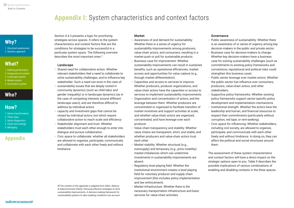# **Appendix I:** System characteristics and context factors

# <span id="page-35-0"></span>**[Why?](#page-7-0)**

[1. Structural weaknesses](#page-7-0) [2. Systems approach](#page-8-0)

# **[What?](#page-11-0)**

- [1. Defining performance](#page-11-0)
- [2. Components & context](#page-12-0) [3. Landscape system](#page-14-0)
- [4. Market system](#page-16-0)
- [5. Governance system](#page-19-0)

# **[Who?](#page-22-0)**

# **[How?](#page-23-0)**

- [1. Sector transformation](#page-23-0) [2. Three steps](#page-24-0) [3. Sector diagnostics](#page-25-0)
- [4. Vision and strategy](#page-27-0) [5. Managing](#page-31-0)

# **Appendix**

#### Section 4.4.3 presents a logic for prioritizing strategies across spaces. It refers to the system characteristics and context factors that are the conditions for strategies to be successful in a particular system space. The following overview describes the most important ones.*<sup>8</sup>*

#### Landscape

- Shared need for collaborative action: Whether relevant stakeholders feel a need to collaborate to solve sustainability challenges, and to influence key stakeholder. Such a need can exist in the case of:
- sustainability issues that are deeply rooted in community dynamics (such as child labor and gender inequality) or in landscape dynamics (as in the case of competing interests around different landscape users), and are therefore difficult to address by individual actors.
- capacity and investment gaps that cannot be closed by individual actors, but which require collaborative action to reach scale and efficiency
- Stakeholder alignment and trust: Whether stakeholders trust each other enough to enter into dialogue and pursue collaboration.
- Civic space to collaborate: whether all stakeholders are allowed to organize, participate, communicate, and collaborate with each other freely and without hindrance.

- 
- 
- 

*8] The content of this appendix is adapted from ISEAL Alliance & Aidenvironment (2020), Choosing effective strategies to drive sustainability improvements: A decision-making framework for sustainability systems to take enabling conditions into account*

### Market

- Awareness of and demand for sustainability: Whether there is a sense of urgency for sustainability improvements among producers, value-chain actors, and consumers, resulting in a market push or pull for sustainable products.
- Business case for improvement: Whether sustainability improvements can result in sustained benefits, such as operational efficiencies, market access and opportunities for value capture (e.g., through market differentiation).
- Capacities and access to services to improve: Whether producers, producer organizations, and value-chain actors have the capacities or access to services to implement sustainability improvements.
- Organization and concentration of actors, and the leverage between them: Whether producers are concentrated or organized to facilitate transfers of market incentives and support activities at scale, and whether value-chain actors are organized, concentrated, and have leverage over each producer.
- Value chain transparency and stability: Whether value chains are transparent, short, and stable, and whether producers and value-chain actors trust each other.
- Market stability: Whether structural (e.g., oversupply) and temporary (e.g., price volatility) market imbalances which can undermine investments in sustainability improvements are absent.
- Regulatory level playing field: Whether the institutional environment creates a level playing field for voluntary producer and supply chain improvement (this includes policy implementation and law enforcement).
- Market infrastructure: Whether there is the necessary transportation infrastructure and basic services for value-chain activities

### Governance

- Public awareness of sustainability: Whether there is an awareness of or sense of urgency among key decision-makers in the public and private sector.
- Business case for decision-makers to change: Whether key decision-makers have a business case for solving sustainability challenges (such as commitments to existing policy frameworks and conventions; reputational and political risks could strengthen this business case).
- Public sector leverage over market actors: Whether the public sector has influence over consumers, producers, value-chain actors, and other stakeholders.
- Supportive policy frameworks: Whether existing policy frameworks support sector-specific policy development and implementation mechanisms.
- Institutional strength: Whether the actors have the leadership and human, and financial resources to respect their commitments (particularly without corruption, red tape, or rent-seeking).
- Civic space for influencing: Whether stakeholders, including civil society, are allowed to organize, participate, and communicate with each other freely and without hindrance. In doing so, they can affect the political and social structures around them.

The assessment of these system characteristics and context factors will have a direct impact on the strategic options open to you. Table 9 describes the possible implications of various combinations of enabling and disabling contexts in the three spaces.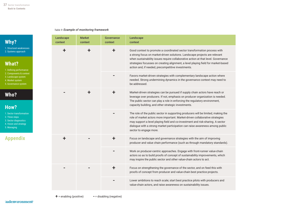#### *Table 9: Example of monitoring framework*

# **[Why?](#page-7-0)**

[1. Structural weaknesses](#page-7-0) [2. Systems approach](#page-8-0)

# **[What?](#page-11-0)**

| 1. Defining performance |  |
|-------------------------|--|
| 2. Components & context |  |

- [3. Landscape system](#page-14-0)
- [4. Market system](#page-16-0)
- [5. Governance system](#page-19-0)

# **[Who?](#page-22-0)**

# **[How?](#page-23-0)**

[1. Sector transformation](#page-23-0) [2. Three steps](#page-24-0) [3. Sector diagnostics](#page-25-0)

- [4. Vision and strategy](#page-27-0)
- [5. Managing](#page-31-0)

# **[Appendix](#page-35-0)**

|  | Landscape<br>context | <b>Market</b><br>context | Governance<br>context | Landscape<br>context                                                                                                                                                                                                                                                                                                                                                                   |                                                                                                                                                       |  |   |                                                                                                                                                                                                                                                                                                    |                                                                                                                                                       |  |  |  |  |                                                                                                                                                                                                                                                                                                                                                               |                                                                                                                                                                                                                                  |  |  |  |
|--|----------------------|--------------------------|-----------------------|----------------------------------------------------------------------------------------------------------------------------------------------------------------------------------------------------------------------------------------------------------------------------------------------------------------------------------------------------------------------------------------|-------------------------------------------------------------------------------------------------------------------------------------------------------|--|---|----------------------------------------------------------------------------------------------------------------------------------------------------------------------------------------------------------------------------------------------------------------------------------------------------|-------------------------------------------------------------------------------------------------------------------------------------------------------|--|--|--|--|---------------------------------------------------------------------------------------------------------------------------------------------------------------------------------------------------------------------------------------------------------------------------------------------------------------------------------------------------------------|----------------------------------------------------------------------------------------------------------------------------------------------------------------------------------------------------------------------------------|--|--|--|
|  | $\ddagger$           | ╋                        | ٠                     | Good context to promote a coordinated sector transformation process with<br>a strong focus on market-driven solutions. Landscape projects are relevant<br>when sustainability issues require collaborative action at that level. Governance<br>strategies focusses on creating alignment, a level playing field for market-based<br>action and, if needed, precompetitive investments. |                                                                                                                                                       |  |   |                                                                                                                                                                                                                                                                                                    |                                                                                                                                                       |  |  |  |  |                                                                                                                                                                                                                                                                                                                                                               |                                                                                                                                                                                                                                  |  |  |  |
|  |                      |                          |                       | Favors market-driven strategies with complementary landscape action where<br>needed. Strong undermining dynamics in the governance context may need to<br>be addressed.                                                                                                                                                                                                                |                                                                                                                                                       |  |   |                                                                                                                                                                                                                                                                                                    |                                                                                                                                                       |  |  |  |  |                                                                                                                                                                                                                                                                                                                                                               |                                                                                                                                                                                                                                  |  |  |  |
|  |                      | 士                        |                       |                                                                                                                                                                                                                                                                                                                                                                                        |                                                                                                                                                       |  | ÷ | Market-driven strategies can be pursued if supply chain actors have reach or<br>leverage over producers. If not, emphasis on producer organization is needed.<br>The public sector can play a role in enforcing the regulatory environment,<br>capacity building, and other strategic investments. |                                                                                                                                                       |  |  |  |  |                                                                                                                                                                                                                                                                                                                                                               |                                                                                                                                                                                                                                  |  |  |  |
|  |                      |                          |                       |                                                                                                                                                                                                                                                                                                                                                                                        |                                                                                                                                                       |  |   |                                                                                                                                                                                                                                                                                                    |                                                                                                                                                       |  |  |  |  | The role of the public sector in supporting producers will be limited, making the<br>role of market actors more important. Market-driven collaborative strategies<br>may support a level playing field and co-investment and risk-sharing. A sector<br>dialogue with a strong market participation can raise awareness among public<br>sector to engage more. |                                                                                                                                                                                                                                  |  |  |  |
|  | $\ddagger$           |                          |                       |                                                                                                                                                                                                                                                                                                                                                                                        |                                                                                                                                                       |  |   | ٠                                                                                                                                                                                                                                                                                                  | Focus on landscape and governance strategies with the aim of improving<br>producer and value chain performance (such as through mandatory standards). |  |  |  |  |                                                                                                                                                                                                                                                                                                                                                               |                                                                                                                                                                                                                                  |  |  |  |
|  |                      |                          |                       |                                                                                                                                                                                                                                                                                                                                                                                        |                                                                                                                                                       |  |   |                                                                                                                                                                                                                                                                                                    |                                                                                                                                                       |  |  |  |  |                                                                                                                                                                                                                                                                                                                                                               | Work on producer-centric approaches. Engage with front-runner value-chain<br>actors so as to build proofs of concept of sustainability improvements, which<br>may inspire the public sector and other value-chain actors to act. |  |  |  |
|  |                      |                          |                       |                                                                                                                                                                                                                                                                                                                                                                                        | Focus on strengthening the governance of the sector, and on feed this with<br>proofs of concept from producer and value-chain best practice projects. |  |   |                                                                                                                                                                                                                                                                                                    |                                                                                                                                                       |  |  |  |  |                                                                                                                                                                                                                                                                                                                                                               |                                                                                                                                                                                                                                  |  |  |  |
|  |                      |                          |                       |                                                                                                                                                                                                                                                                                                                                                                                        |                                                                                                                                                       |  |   |                                                                                                                                                                                                                                                                                                    |                                                                                                                                                       |  |  |  |  |                                                                                                                                                                                                                                                                                                                                                               |                                                                                                                                                                                                                                  |  |  |  |